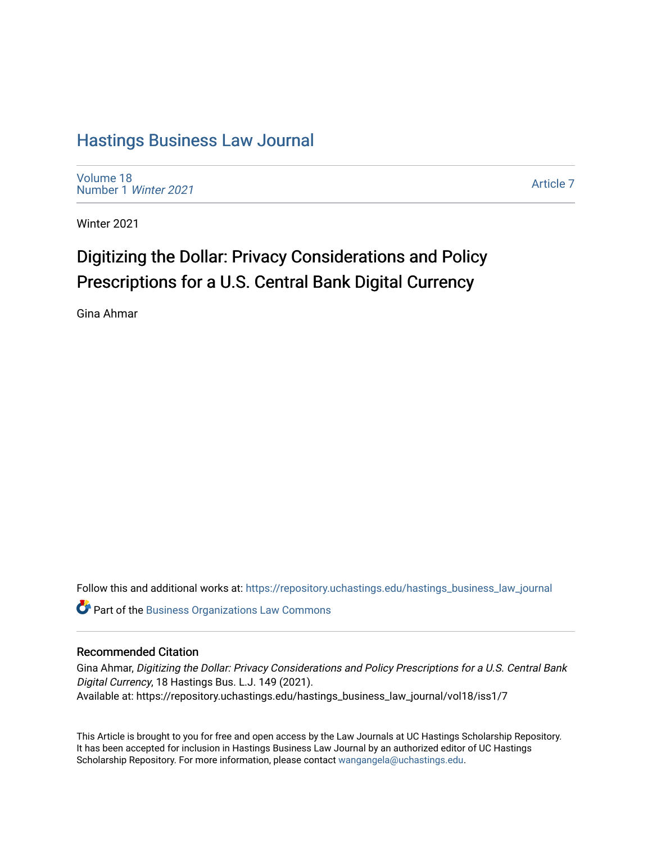## [Hastings Business Law Journal](https://repository.uchastings.edu/hastings_business_law_journal)

[Volume 18](https://repository.uchastings.edu/hastings_business_law_journal/vol18) [Number 1](https://repository.uchastings.edu/hastings_business_law_journal/vol18/iss1) Winter 2021

[Article 7](https://repository.uchastings.edu/hastings_business_law_journal/vol18/iss1/7) 

Winter 2021

# Digitizing the Dollar: Privacy Considerations and Policy Prescriptions for a U.S. Central Bank Digital Currency

Gina Ahmar

Follow this and additional works at: [https://repository.uchastings.edu/hastings\\_business\\_law\\_journal](https://repository.uchastings.edu/hastings_business_law_journal?utm_source=repository.uchastings.edu%2Fhastings_business_law_journal%2Fvol18%2Fiss1%2F7&utm_medium=PDF&utm_campaign=PDFCoverPages) 

Part of the [Business Organizations Law Commons](http://network.bepress.com/hgg/discipline/900?utm_source=repository.uchastings.edu%2Fhastings_business_law_journal%2Fvol18%2Fiss1%2F7&utm_medium=PDF&utm_campaign=PDFCoverPages)

### Recommended Citation

Gina Ahmar, Digitizing the Dollar: Privacy Considerations and Policy Prescriptions for a U.S. Central Bank Digital Currency, 18 Hastings Bus. L.J. 149 (2021). Available at: https://repository.uchastings.edu/hastings\_business\_law\_journal/vol18/iss1/7

This Article is brought to you for free and open access by the Law Journals at UC Hastings Scholarship Repository. It has been accepted for inclusion in Hastings Business Law Journal by an authorized editor of UC Hastings Scholarship Repository. For more information, please contact [wangangela@uchastings.edu.](mailto:wangangela@uchastings.edu)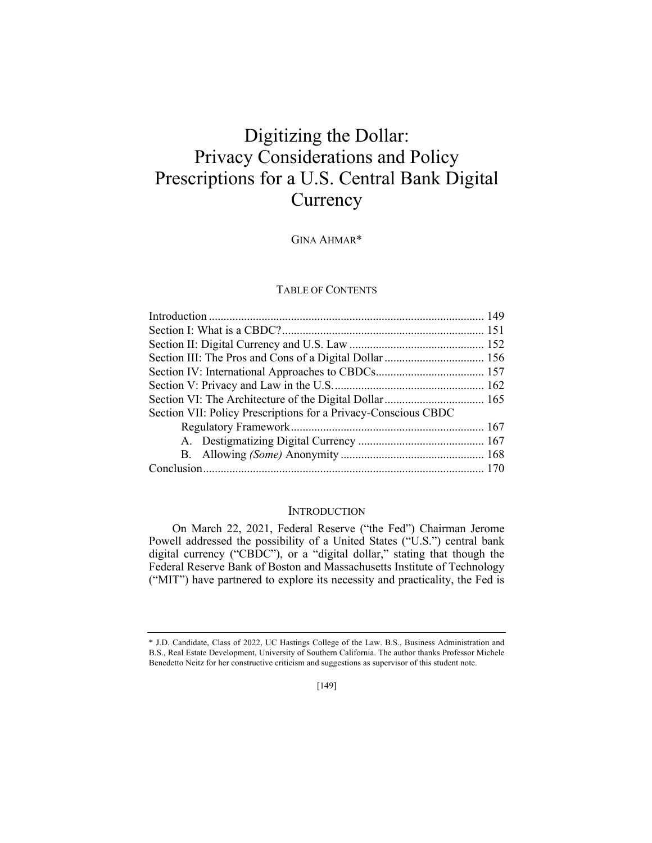## Digitizing the Dollar: Privacy Considerations and Policy Prescriptions for a U.S. Central Bank Digital **Currency**

GINA AHMAR\*

#### TABLE OF CONTENTS

| Section VII: Policy Prescriptions for a Privacy-Conscious CBDC |  |
|----------------------------------------------------------------|--|
|                                                                |  |
|                                                                |  |
|                                                                |  |
|                                                                |  |

#### **INTRODUCTION**

On March 22, 2021, Federal Reserve ("the Fed") Chairman Jerome Powell addressed the possibility of a United States ("U.S.") central bank digital currency ("CBDC"), or a "digital dollar," stating that though the Federal Reserve Bank of Boston and Massachusetts Institute of Technology ("MIT") have partnered to explore its necessity and practicality, the Fed is

<sup>\*</sup> J.D. Candidate, Class of 2022, UC Hastings College of the Law. B.S., Business Administration and B.S., Real Estate Development, University of Southern California. The author thanks Professor Michele Benedetto Neitz for her constructive criticism and suggestions as supervisor of this student note.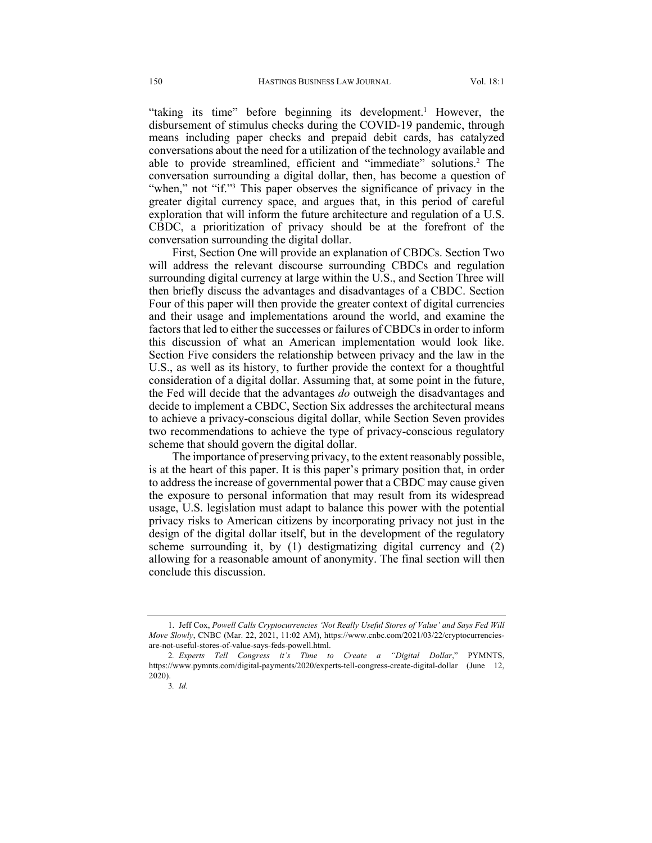"taking its time" before beginning its development.<sup>1</sup> However, the disbursement of stimulus checks during the COVID-19 pandemic, through means including paper checks and prepaid debit cards, has catalyzed conversations about the need for a utilization of the technology available and able to provide streamlined, efficient and "immediate" solutions.2 The conversation surrounding a digital dollar, then, has become a question of "when," not "if."<sup>3</sup> This paper observes the significance of privacy in the greater digital currency space, and argues that, in this period of careful exploration that will inform the future architecture and regulation of a U.S. CBDC, a prioritization of privacy should be at the forefront of the conversation surrounding the digital dollar.

First, Section One will provide an explanation of CBDCs. Section Two will address the relevant discourse surrounding CBDCs and regulation surrounding digital currency at large within the U.S., and Section Three will then briefly discuss the advantages and disadvantages of a CBDC. Section Four of this paper will then provide the greater context of digital currencies and their usage and implementations around the world, and examine the factors that led to either the successes or failures of CBDCs in order to inform this discussion of what an American implementation would look like. Section Five considers the relationship between privacy and the law in the U.S., as well as its history, to further provide the context for a thoughtful consideration of a digital dollar. Assuming that, at some point in the future, the Fed will decide that the advantages *do* outweigh the disadvantages and decide to implement a CBDC, Section Six addresses the architectural means to achieve a privacy-conscious digital dollar, while Section Seven provides two recommendations to achieve the type of privacy-conscious regulatory scheme that should govern the digital dollar.

The importance of preserving privacy, to the extent reasonably possible, is at the heart of this paper. It is this paper's primary position that, in order to address the increase of governmental power that a CBDC may cause given the exposure to personal information that may result from its widespread usage, U.S. legislation must adapt to balance this power with the potential privacy risks to American citizens by incorporating privacy not just in the design of the digital dollar itself, but in the development of the regulatory scheme surrounding it, by (1) destigmatizing digital currency and (2) allowing for a reasonable amount of anonymity. The final section will then conclude this discussion.

<sup>1.</sup> Jeff Cox, *Powell Calls Cryptocurrencies 'Not Really Useful Stores of Value' and Says Fed Will Move Slowly*, CNBC (Mar. 22, 2021, 11:02 AM), https://www.cnbc.com/2021/03/22/cryptocurrenciesare-not-useful-stores-of-value-says-feds-powell.html.

<sup>2</sup>*. Experts Tell Congress it's Time to Create a "Digital Dollar*," PYMNTS, https://www.pymnts.com/digital-payments/2020/experts-tell-congress-create-digital-dollar (June 12, 2020).

<sup>3</sup>*. Id.*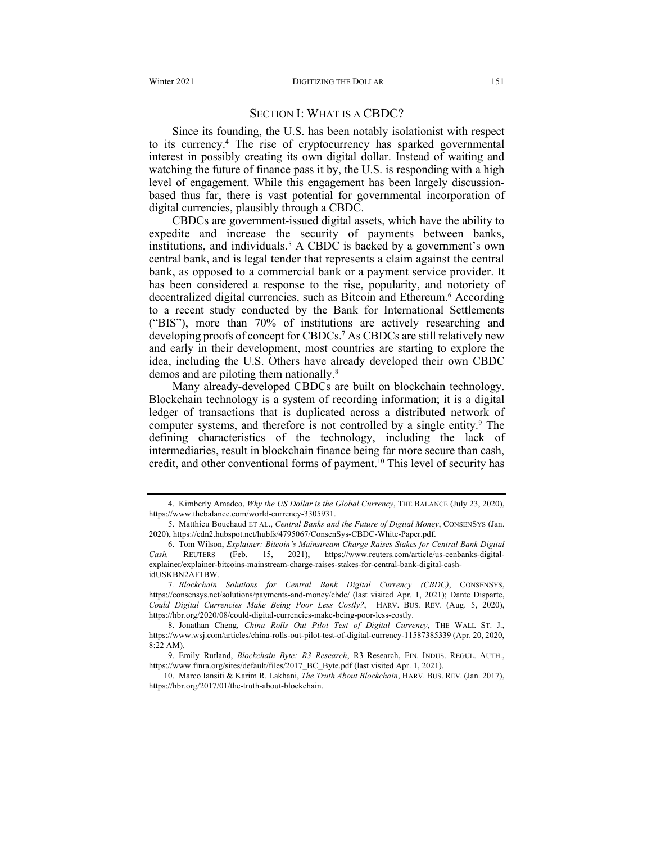#### SECTION I: WHAT IS A CBDC?

Since its founding, the U.S. has been notably isolationist with respect to its currency.4 The rise of cryptocurrency has sparked governmental interest in possibly creating its own digital dollar. Instead of waiting and watching the future of finance pass it by, the U.S. is responding with a high level of engagement. While this engagement has been largely discussionbased thus far, there is vast potential for governmental incorporation of digital currencies, plausibly through a CBDC.

CBDCs are government-issued digital assets, which have the ability to expedite and increase the security of payments between banks, institutions, and individuals.<sup>5</sup> A CBDC is backed by a government's own central bank, and is legal tender that represents a claim against the central bank, as opposed to a commercial bank or a payment service provider. It has been considered a response to the rise, popularity, and notoriety of decentralized digital currencies, such as Bitcoin and Ethereum.<sup>6</sup> According to a recent study conducted by the Bank for International Settlements ("BIS"), more than 70% of institutions are actively researching and developing proofs of concept for CBDCs.<sup>7</sup> As CBDCs are still relatively new and early in their development, most countries are starting to explore the idea, including the U.S. Others have already developed their own CBDC demos and are piloting them nationally.<sup>8</sup>

Many already-developed CBDCs are built on blockchain technology. Blockchain technology is a system of recording information; it is a digital ledger of transactions that is duplicated across a distributed network of computer systems, and therefore is not controlled by a single entity.<sup>9</sup> The defining characteristics of the technology, including the lack of intermediaries, result in blockchain finance being far more secure than cash, credit, and other conventional forms of payment.10 This level of security has

10. Marco Iansiti & Karim R. Lakhani, *The Truth About Blockchain*, HARV. BUS. REV. (Jan. 2017), https://hbr.org/2017/01/the-truth-about-blockchain.

<sup>4.</sup> Kimberly Amadeo, *Why the US Dollar is the Global Currency*, THE BALANCE (July 23, 2020), https://www.thebalance.com/world-currency-3305931.

<sup>5.</sup> Matthieu Bouchaud ET AL., *Central Banks and the Future of Digital Money*, CONSENSYS (Jan. 2020), https://cdn2.hubspot.net/hubfs/4795067/ConsenSys-CBDC-White-Paper.pdf.

<sup>6.</sup> Tom Wilson, *Explainer: Bitcoin's Mainstream Charge Raises Stakes for Central Bank Digital Cash,* REUTERS (Feb. 15, 2021), https://www.reuters.com/article/us-cenbanks-digitalexplainer/explainer-bitcoins-mainstream-charge-raises-stakes-for-central-bank-digital-cashidUSKBN2AF1BW.

<sup>7</sup>*. Blockchain Solutions for Central Bank Digital Currency (CBDC)*, CONSENSYS, https://consensys.net/solutions/payments-and-money/cbdc/ (last visited Apr. 1, 2021); Dante Disparte, *Could Digital Currencies Make Being Poor Less Costly?*, HARV. BUS. REV. (Aug. 5, 2020), https://hbr.org/2020/08/could-digital-currencies-make-being-poor-less-costly.

<sup>8.</sup> Jonathan Cheng, *China Rolls Out Pilot Test of Digital Currency*, THE WALL ST. J., https://www.wsj.com/articles/china-rolls-out-pilot-test-of-digital-currency-11587385339 (Apr. 20, 2020, 8:22 AM).

<sup>9.</sup> Emily Rutland, *Blockchain Byte: R3 Research*, R3 Research, FIN. INDUS. REGUL. AUTH., https://www.finra.org/sites/default/files/2017\_BC\_Byte.pdf (last visited Apr. 1, 2021).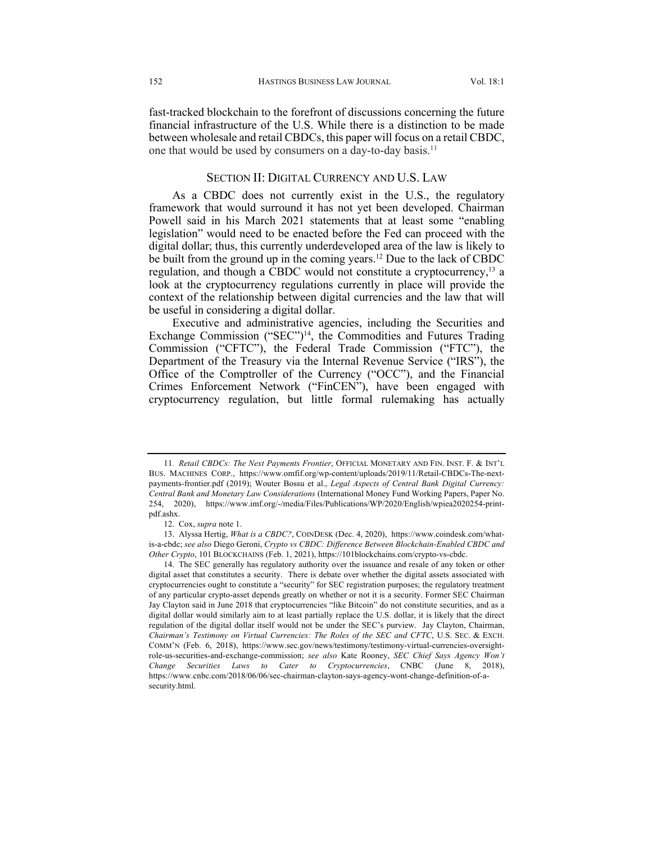fast-tracked blockchain to the forefront of discussions concerning the future financial infrastructure of the U.S. While there is a distinction to be made between wholesale and retail CBDCs, this paper will focus on a retail CBDC, one that would be used by consumers on a day-to-day basis.<sup>11</sup>

### SECTION II: DIGITAL CURRENCY AND U.S. LAW

As a CBDC does not currently exist in the U.S., the regulatory framework that would surround it has not yet been developed. Chairman Powell said in his March 2021 statements that at least some "enabling legislation" would need to be enacted before the Fed can proceed with the digital dollar; thus, this currently underdeveloped area of the law is likely to be built from the ground up in the coming years.12 Due to the lack of CBDC regulation, and though a CBDC would not constitute a cryptocurrency,<sup>13</sup> a look at the cryptocurrency regulations currently in place will provide the context of the relationship between digital currencies and the law that will be useful in considering a digital dollar.

Executive and administrative agencies, including the Securities and Exchange Commission ("SEC")14, the Commodities and Futures Trading Commission ("CFTC"), the Federal Trade Commission ("FTC"), the Department of the Treasury via the Internal Revenue Service ("IRS"), the Office of the Comptroller of the Currency ("OCC"), and the Financial Crimes Enforcement Network ("FinCEN"), have been engaged with cryptocurrency regulation, but little formal rulemaking has actually

<sup>11</sup>*. Retail CBDCs: The Next Payments Frontier*, OFFICIAL MONETARY AND FIN. INST. F. & INT'L BUS. MACHINES CORP., https://www.omfif.org/wp-content/uploads/2019/11/Retail-CBDCs-The-nextpayments-frontier.pdf (2019); Wouter Bossu et al., *Legal Aspects of Central Bank Digital Currency: Central Bank and Monetary Law Considerations* (International Money Fund Working Papers, Paper No. 254, 2020), https://www.imf.org/-/media/Files/Publications/WP/2020/English/wpiea2020254-printpdf.ashx.

<sup>12.</sup> Cox, *supra* note 1.

<sup>13.</sup> Alyssa Hertig, *What is a CBDC?*, COINDESK (Dec. 4, 2020), https://www.coindesk.com/whatis-a-cbdc; *see also* Diego Geroni, *Crypto vs CBDC: Difference Between Blockchain-Enabled CBDC and Other Crypto*, 101 BLOCKCHAINS (Feb. 1, 2021), https://101blockchains.com/crypto-vs-cbdc.

<sup>14.</sup> The SEC generally has regulatory authority over the issuance and resale of any token or other digital asset that constitutes a security. There is debate over whether the digital assets associated with cryptocurrencies ought to constitute a "security" for SEC registration purposes; the regulatory treatment of any particular crypto-asset depends greatly on whether or not it is a security. Former SEC Chairman Jay Clayton said in June 2018 that cryptocurrencies "like Bitcoin" do not constitute securities, and as a digital dollar would similarly aim to at least partially replace the U.S. dollar, it is likely that the direct regulation of the digital dollar itself would not be under the SEC's purview. Jay Clayton, Chairman, *Chairman's Testimony on Virtual Currencies: The Roles of the SEC and CFTC*, U.S. SEC. & EXCH. COMM'N (Feb. 6, 2018), https://www.sec.gov/news/testimony/testimony-virtual-currencies-oversightrole-us-securities-and-exchange-commission; *see also* Kate Rooney, *SEC Chief Says Agency Won't Change Securities Laws to Cater to Cryptocurrencies*, CNBC (June 8, 2018), https://www.cnbc.com/2018/06/06/sec-chairman-clayton-says-agency-wont-change-definition-of-asecurity.html.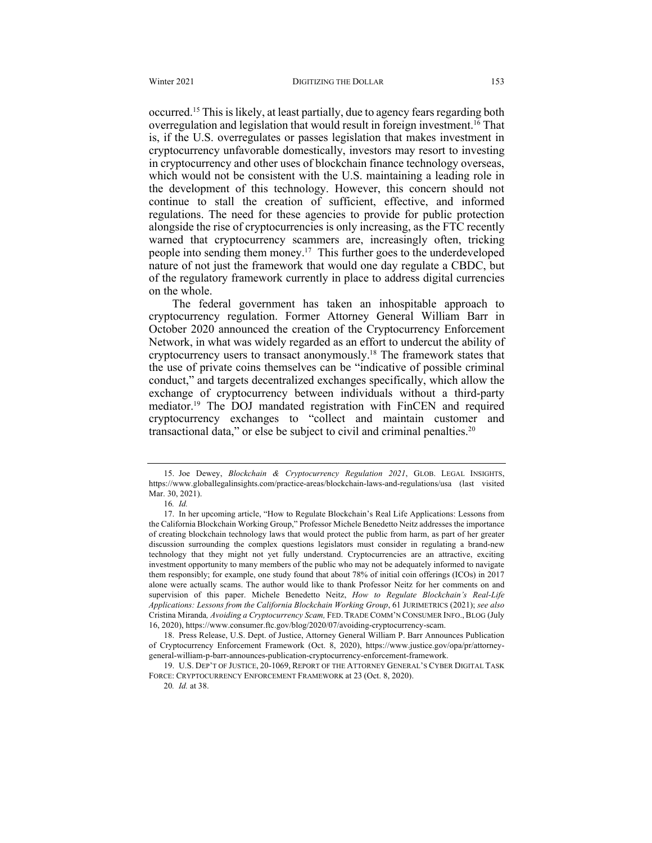occurred.15 This is likely, at least partially, due to agency fears regarding both overregulation and legislation that would result in foreign investment.<sup>16</sup> That is, if the U.S. overregulates or passes legislation that makes investment in cryptocurrency unfavorable domestically, investors may resort to investing in cryptocurrency and other uses of blockchain finance technology overseas, which would not be consistent with the U.S. maintaining a leading role in the development of this technology. However, this concern should not continue to stall the creation of sufficient, effective, and informed regulations. The need for these agencies to provide for public protection alongside the rise of cryptocurrencies is only increasing, as the FTC recently warned that cryptocurrency scammers are, increasingly often, tricking people into sending them money.17 This further goes to the underdeveloped nature of not just the framework that would one day regulate a CBDC, but of the regulatory framework currently in place to address digital currencies on the whole.

The federal government has taken an inhospitable approach to cryptocurrency regulation. Former Attorney General William Barr in October 2020 announced the creation of the Cryptocurrency Enforcement Network, in what was widely regarded as an effort to undercut the ability of cryptocurrency users to transact anonymously.18 The framework states that the use of private coins themselves can be "indicative of possible criminal conduct," and targets decentralized exchanges specifically, which allow the exchange of cryptocurrency between individuals without a third-party mediator.19 The DOJ mandated registration with FinCEN and required cryptocurrency exchanges to "collect and maintain customer and transactional data," or else be subject to civil and criminal penalties.<sup>20</sup>

<sup>15.</sup> Joe Dewey, *Blockchain & Cryptocurrency Regulation 2021*, GLOB. LEGAL INSIGHTS, https://www.globallegalinsights.com/practice-areas/blockchain-laws-and-regulations/usa (last visited Mar. 30, 2021).

<sup>16</sup>*. Id.*

<sup>17.</sup> In her upcoming article, "How to Regulate Blockchain's Real Life Applications: Lessons from the California Blockchain Working Group," Professor Michele Benedetto Neitz addresses the importance of creating blockchain technology laws that would protect the public from harm, as part of her greater discussion surrounding the complex questions legislators must consider in regulating a brand-new technology that they might not yet fully understand. Cryptocurrencies are an attractive, exciting investment opportunity to many members of the public who may not be adequately informed to navigate them responsibly; for example, one study found that about 78% of initial coin offerings (ICOs) in 2017 alone were actually scams. The author would like to thank Professor Neitz for her comments on and supervision of this paper. Michele Benedetto Neitz, *How to Regulate Blockchain's Real-Life Applications: Lessons from the California Blockchain Working Group*, 61 JURIMETRICS (2021); *see also*  Cristina Miranda*, Avoiding a Cryptocurrency Scam,* FED. TRADE COMM'N CONSUMER INFO., BLOG (July 16, 2020), https://www.consumer.ftc.gov/blog/2020/07/avoiding-cryptocurrency-scam.

<sup>18.</sup> Press Release, U.S. Dept. of Justice, Attorney General William P. Barr Announces Publication of Cryptocurrency Enforcement Framework (Oct. 8, 2020), https://www.justice.gov/opa/pr/attorneygeneral-william-p-barr-announces-publication-cryptocurrency-enforcement-framework.

<sup>19.</sup> U.S. DEP'T OF JUSTICE, 20-1069, REPORT OF THE ATTORNEY GENERAL'S CYBER DIGITAL TASK FORCE: CRYPTOCURRENCY ENFORCEMENT FRAMEWORK at 23 (Oct. 8, 2020).

<sup>20</sup>*. Id.* at 38.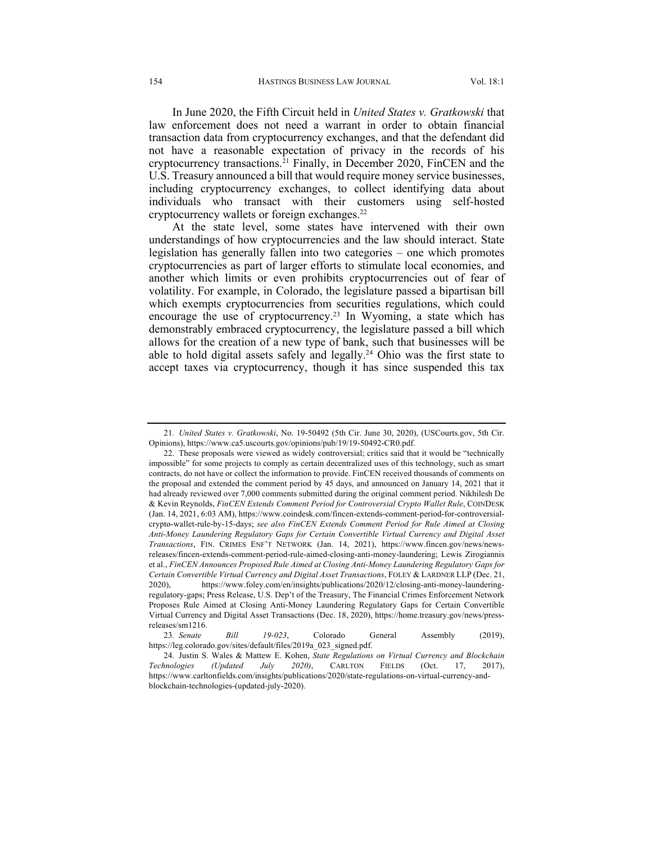In June 2020, the Fifth Circuit held in *United States v. Gratkowski* that law enforcement does not need a warrant in order to obtain financial transaction data from cryptocurrency exchanges, and that the defendant did not have a reasonable expectation of privacy in the records of his cryptocurrency transactions.<sup>21</sup> Finally, in December 2020, FinCEN and the U.S. Treasury announced a bill that would require money service businesses, including cryptocurrency exchanges, to collect identifying data about individuals who transact with their customers using self-hosted cryptocurrency wallets or foreign exchanges.<sup>22</sup>

At the state level, some states have intervened with their own understandings of how cryptocurrencies and the law should interact. State legislation has generally fallen into two categories – one which promotes cryptocurrencies as part of larger efforts to stimulate local economies, and another which limits or even prohibits cryptocurrencies out of fear of volatility. For example, in Colorado, the legislature passed a bipartisan bill which exempts cryptocurrencies from securities regulations, which could encourage the use of cryptocurrency.<sup>23</sup> In Wyoming, a state which has demonstrably embraced cryptocurrency, the legislature passed a bill which allows for the creation of a new type of bank, such that businesses will be able to hold digital assets safely and legally.24 Ohio was the first state to accept taxes via cryptocurrency, though it has since suspended this tax

<sup>21</sup>*. United States v. Gratkowski*, No. 19-50492 (5th Cir. June 30, 2020), (USCourts.gov, 5th Cir. Opinions), https://www.ca5.uscourts.gov/opinions/pub/19/19-50492-CR0.pdf.

<sup>22.</sup> These proposals were viewed as widely controversial; critics said that it would be "technically impossible" for some projects to comply as certain decentralized uses of this technology, such as smart contracts, do not have or collect the information to provide. FinCEN received thousands of comments on the proposal and extended the comment period by 45 days, and announced on January 14, 2021 that it had already reviewed over 7,000 comments submitted during the original comment period. Nikhilesh De & Kevin Reynolds, *FinCEN Extends Comment Period for Controversial Crypto Wallet Rule*, COINDESK (Jan. 14, 2021, 6:03 AM), https://www.coindesk.com/fincen-extends-comment-period-for-controversialcrypto-wallet-rule-by-15-days; *see also FinCEN Extends Comment Period for Rule Aimed at Closing Anti-Money Laundering Regulatory Gaps for Certain Convertible Virtual Currency and Digital Asset Transactions*, FIN. CRIMES ENF'T NETWORK (Jan. 14, 2021), https://www.fincen.gov/news/newsreleases/fincen-extends-comment-period-rule-aimed-closing-anti-money-laundering; Lewis Zirogiannis et al., *FinCEN Announces Proposed Rule Aimed at Closing Anti-Money Laundering Regulatory Gaps for Certain Convertible Virtual Currency and Digital Asset Transactions*, FOLEY & LARDNER LLP (Dec. 21, 2020), https://www.foley.com/en/insights/publications/2020/12/closing-anti-money-launderingregulatory-gaps; Press Release, U.S. Dep't of the Treasury, The Financial Crimes Enforcement Network Proposes Rule Aimed at Closing Anti-Money Laundering Regulatory Gaps for Certain Convertible Virtual Currency and Digital Asset Transactions (Dec. 18, 2020), https://home.treasury.gov/news/pressreleases/sm1216.

<sup>23</sup>*. Senate Bill 19-023*, Colorado General Assembly (2019), https://leg.colorado.gov/sites/default/files/2019a\_023\_signed.pdf.

<sup>24.</sup> Justin S. Wales & Mattew E. Kohen, *State Regulations on Virtual Currency and Blockchain Technologies (Updated July 2020)*, CARLTON FIELDS (Oct. 17, 2017), https://www.carltonfields.com/insights/publications/2020/state-regulations-on-virtual-currency-andblockchain-technologies-(updated-july-2020).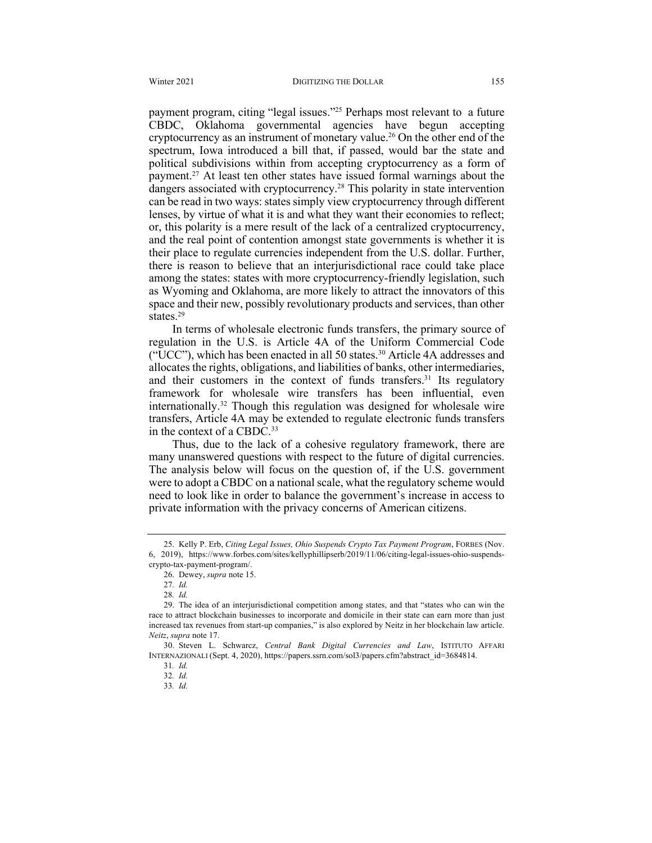payment program, citing "legal issues."25 Perhaps most relevant to a future CBDC, Oklahoma governmental agencies have begun accepting cryptocurrency as an instrument of monetary value.26 On the other end of the spectrum, Iowa introduced a bill that, if passed, would bar the state and political subdivisions within from accepting cryptocurrency as a form of payment.27 At least ten other states have issued formal warnings about the dangers associated with cryptocurrency.28 This polarity in state intervention can be read in two ways: states simply view cryptocurrency through different lenses, by virtue of what it is and what they want their economies to reflect; or, this polarity is a mere result of the lack of a centralized cryptocurrency, and the real point of contention amongst state governments is whether it is their place to regulate currencies independent from the U.S. dollar. Further, there is reason to believe that an interjurisdictional race could take place among the states: states with more cryptocurrency-friendly legislation, such as Wyoming and Oklahoma, are more likely to attract the innovators of this space and their new, possibly revolutionary products and services, than other states.<sup>29</sup>

In terms of wholesale electronic funds transfers, the primary source of regulation in the U.S. is Article 4A of the Uniform Commercial Code ("UCC"), which has been enacted in all 50 states.30 Article 4A addresses and allocates the rights, obligations, and liabilities of banks, other intermediaries, and their customers in the context of funds transfers.<sup>31</sup> Its regulatory framework for wholesale wire transfers has been influential, even internationally.32 Though this regulation was designed for wholesale wire transfers, Article 4A may be extended to regulate electronic funds transfers in the context of a CBDC.<sup>33</sup>

Thus, due to the lack of a cohesive regulatory framework, there are many unanswered questions with respect to the future of digital currencies. The analysis below will focus on the question of, if the U.S. government were to adopt a CBDC on a national scale, what the regulatory scheme would need to look like in order to balance the government's increase in access to private information with the privacy concerns of American citizens.

<sup>25.</sup> Kelly P. Erb, *Citing Legal Issues, Ohio Suspends Crypto Tax Payment Program*, FORBES (Nov. 6, 2019), https://www.forbes.com/sites/kellyphillipserb/2019/11/06/citing-legal-issues-ohio-suspendscrypto-tax-payment-program/.

<sup>26.</sup> Dewey, *supra* note 15.

<sup>27</sup>*. Id.*

<sup>28</sup>*. Id.*

<sup>29.</sup> The idea of an interjurisdictional competition among states, and that "states who can win the race to attract blockchain businesses to incorporate and domicile in their state can earn more than just increased tax revenues from start-up companies," is also explored by Neitz in her blockchain law article. *Neitz*, *supra* note 17.

<sup>30.</sup> Steven L. Schwarcz, *Central Bank Digital Currencies and Law*, ISTITUTO AFFARI INTERNAZIONALI (Sept. 4, 2020), https://papers.ssrn.com/sol3/papers.cfm?abstract\_id=3684814.

<sup>31</sup>*. Id.*

<sup>32</sup>*. Id.*

<sup>33</sup>*. Id.*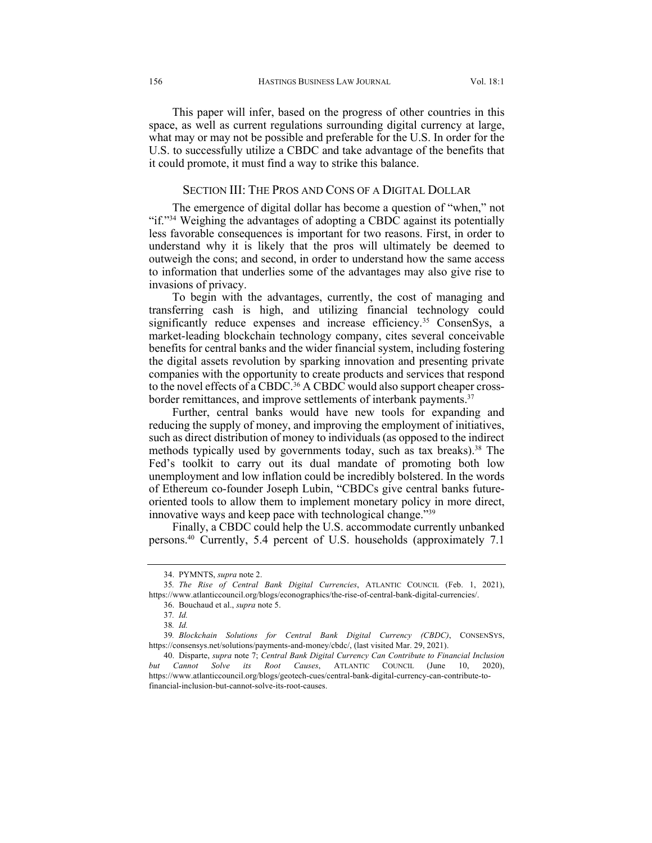This paper will infer, based on the progress of other countries in this space, as well as current regulations surrounding digital currency at large, what may or may not be possible and preferable for the U.S. In order for the U.S. to successfully utilize a CBDC and take advantage of the benefits that it could promote, it must find a way to strike this balance.

#### SECTION III: THE PROS AND CONS OF A DIGITAL DOLLAR

The emergence of digital dollar has become a question of "when," not "if."34 Weighing the advantages of adopting a CBDC against its potentially less favorable consequences is important for two reasons. First, in order to understand why it is likely that the pros will ultimately be deemed to outweigh the cons; and second, in order to understand how the same access to information that underlies some of the advantages may also give rise to invasions of privacy.

To begin with the advantages, currently, the cost of managing and transferring cash is high, and utilizing financial technology could significantly reduce expenses and increase efficiency.<sup>35</sup> ConsenSys, a market-leading blockchain technology company, cites several conceivable benefits for central banks and the wider financial system, including fostering the digital assets revolution by sparking innovation and presenting private companies with the opportunity to create products and services that respond to the novel effects of a CBDC.<sup>36</sup> A CBDC would also support cheaper crossborder remittances, and improve settlements of interbank payments.<sup>37</sup>

Further, central banks would have new tools for expanding and reducing the supply of money, and improving the employment of initiatives, such as direct distribution of money to individuals (as opposed to the indirect methods typically used by governments today, such as tax breaks).<sup>38</sup> The Fed's toolkit to carry out its dual mandate of promoting both low unemployment and low inflation could be incredibly bolstered. In the words of Ethereum co-founder Joseph Lubin, "CBDCs give central banks futureoriented tools to allow them to implement monetary policy in more direct, innovative ways and keep pace with technological change."39

Finally, a CBDC could help the U.S. accommodate currently unbanked persons.40 Currently, 5.4 percent of U.S. households (approximately 7.1

<sup>34.</sup> PYMNTS, *supra* note 2.

<sup>35</sup>*. The Rise of Central Bank Digital Currencies*, ATLANTIC COUNCIL (Feb. 1, 2021), https://www.atlanticcouncil.org/blogs/econographics/the-rise-of-central-bank-digital-currencies/. 36. Bouchaud et al., *supra* note 5.

<sup>37</sup>*. Id.*

<sup>38</sup>*. Id.*

<sup>39</sup>*. Blockchain Solutions for Central Bank Digital Currency (CBDC)*, CONSENSYS, https://consensys.net/solutions/payments-and-money/cbdc/, (last visited Mar. 29, 2021).

<sup>40.</sup> Disparte, *supra* note 7; *Central Bank Digital Currency Can Contribute to Financial Inclusion but Cannot Solve its Root Causes*, ATLANTIC COUNCIL (June 10, 2020), https://www.atlanticcouncil.org/blogs/geotech-cues/central-bank-digital-currency-can-contribute-tofinancial-inclusion-but-cannot-solve-its-root-causes.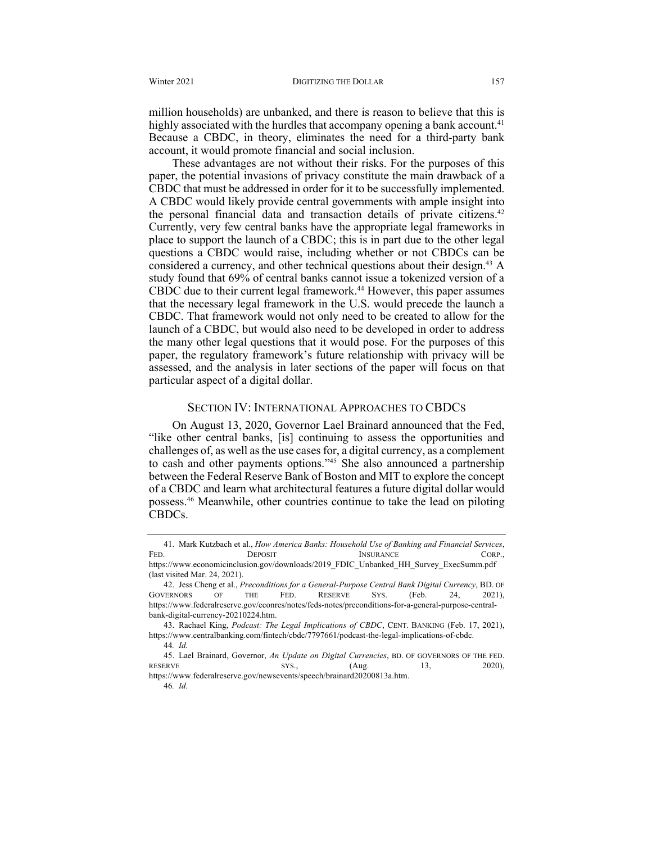million households) are unbanked, and there is reason to believe that this is highly associated with the hurdles that accompany opening a bank account.<sup>41</sup> Because a CBDC, in theory, eliminates the need for a third-party bank account, it would promote financial and social inclusion.

These advantages are not without their risks. For the purposes of this paper, the potential invasions of privacy constitute the main drawback of a CBDC that must be addressed in order for it to be successfully implemented. A CBDC would likely provide central governments with ample insight into the personal financial data and transaction details of private citizens.<sup>42</sup> Currently, very few central banks have the appropriate legal frameworks in place to support the launch of a CBDC; this is in part due to the other legal questions a CBDC would raise, including whether or not CBDCs can be considered a currency, and other technical questions about their design.<sup>43</sup> A study found that 69% of central banks cannot issue a tokenized version of a CBDC due to their current legal framework.<sup>44</sup> However, this paper assumes that the necessary legal framework in the U.S. would precede the launch a CBDC. That framework would not only need to be created to allow for the launch of a CBDC, but would also need to be developed in order to address the many other legal questions that it would pose. For the purposes of this paper, the regulatory framework's future relationship with privacy will be assessed, and the analysis in later sections of the paper will focus on that particular aspect of a digital dollar.

#### SECTION IV: INTERNATIONAL APPROACHES TO CBDCS

On August 13, 2020, Governor Lael Brainard announced that the Fed, "like other central banks, [is] continuing to assess the opportunities and challenges of, as well as the use cases for, a digital currency, as a complement to cash and other payments options."45 She also announced a partnership between the Federal Reserve Bank of Boston and MIT to explore the concept of a CBDC and learn what architectural features a future digital dollar would possess.46 Meanwhile, other countries continue to take the lead on piloting CBDCs.

<sup>41.</sup> Mark Kutzbach et al., *How America Banks: Household Use of Banking and Financial Services*, FED. DEPOSIT INSURANCE CORP., https://www.economicinclusion.gov/downloads/2019\_FDIC\_Unbanked\_HH\_Survey\_ExecSumm.pdf (last visited Mar. 24, 2021).

<sup>42.</sup> Jess Cheng et al., *Preconditions for a General-Purpose Central Bank Digital Currency*, BD. OF GOVERNORS OF THE FED. RESERVE SYS. (Feb. 24, 2021), https://www.federalreserve.gov/econres/notes/feds-notes/preconditions-for-a-general-purpose-centralbank-digital-currency-20210224.htm.

<sup>43.</sup> Rachael King, *Podcast: The Legal Implications of CBDC*, CENT. BANKING (Feb. 17, 2021), https://www.centralbanking.com/fintech/cbdc/7797661/podcast-the-legal-implications-of-cbdc.

<sup>44</sup>*. Id.*

<sup>45.</sup> Lael Brainard, Governor, *An Update on Digital Currencies*, BD. OF GOVERNORS OF THE FED. RESERVE SYS.,  $(Aug. 13, 2020),$ https://www.federalreserve.gov/newsevents/speech/brainard20200813a.htm.

<sup>46</sup>*. Id.*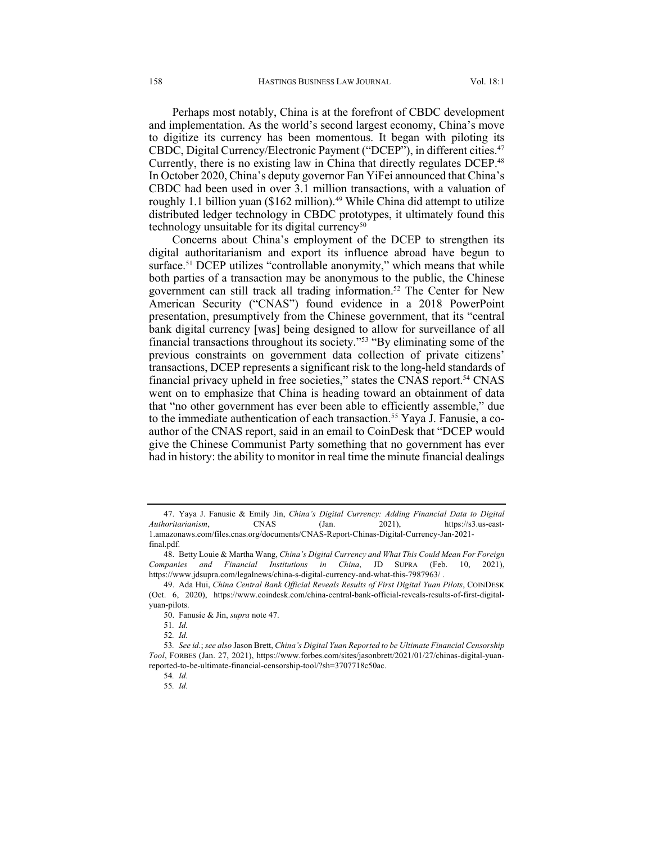Perhaps most notably, China is at the forefront of CBDC development and implementation. As the world's second largest economy, China's move to digitize its currency has been momentous. It began with piloting its CBDC, Digital Currency/Electronic Payment ("DCEP"), in different cities.<sup>47</sup> Currently, there is no existing law in China that directly regulates DCEP.<sup>48</sup> In October 2020, China's deputy governor Fan YiFei announced that China's CBDC had been used in over 3.1 million transactions, with a valuation of roughly 1.1 billion yuan (\$162 million).<sup>49</sup> While China did attempt to utilize distributed ledger technology in CBDC prototypes, it ultimately found this technology unsuitable for its digital currency<sup>50</sup>

Concerns about China's employment of the DCEP to strengthen its digital authoritarianism and export its influence abroad have begun to surface.<sup>51</sup> DCEP utilizes "controllable anonymity," which means that while both parties of a transaction may be anonymous to the public, the Chinese government can still track all trading information.52 The Center for New American Security ("CNAS") found evidence in a 2018 PowerPoint presentation, presumptively from the Chinese government, that its "central bank digital currency [was] being designed to allow for surveillance of all financial transactions throughout its society."53 "By eliminating some of the previous constraints on government data collection of private citizens' transactions, DCEP represents a significant risk to the long-held standards of financial privacy upheld in free societies," states the CNAS report.54 CNAS went on to emphasize that China is heading toward an obtainment of data that "no other government has ever been able to efficiently assemble," due to the immediate authentication of each transaction.<sup>55</sup> Yaya J. Fanusie, a coauthor of the CNAS report, said in an email to CoinDesk that "DCEP would give the Chinese Communist Party something that no government has ever had in history: the ability to monitor in real time the minute financial dealings

<sup>47.</sup> Yaya J. Fanusie & Emily Jin, *China's Digital Currency: Adding Financial Data to Digital Authoritarianism*, CNAS (Jan. 2021), https://s3.us-east-1.amazonaws.com/files.cnas.org/documents/CNAS-Report-Chinas-Digital-Currency-Jan-2021 final.pdf.

<sup>48.</sup> Betty Louie & Martha Wang, *China's Digital Currency and What This Could Mean For Foreign Companies and Financial Institutions in China*, JD SUPRA (Feb. 10, 2021), https://www.jdsupra.com/legalnews/china-s-digital-currency-and-what-this-7987963/ .

<sup>49.</sup> Ada Hui, *China Central Bank Official Reveals Results of First Digital Yuan Pilots*, COINDESK (Oct. 6, 2020), https://www.coindesk.com/china-central-bank-official-reveals-results-of-first-digitalyuan-pilots.

<sup>50.</sup> Fanusie & Jin, *supra* note 47.

<sup>51</sup>*. Id.*

<sup>52</sup>*. Id.*

<sup>53</sup>*. See id.*; *see also* Jason Brett, *China's Digital Yuan Reported to be Ultimate Financial Censorship Tool*, FORBES (Jan. 27, 2021), https://www.forbes.com/sites/jasonbrett/2021/01/27/chinas-digital-yuanreported-to-be-ultimate-financial-censorship-tool/?sh=3707718c50ac.

<sup>54</sup>*. Id.*

<sup>55</sup>*. Id.*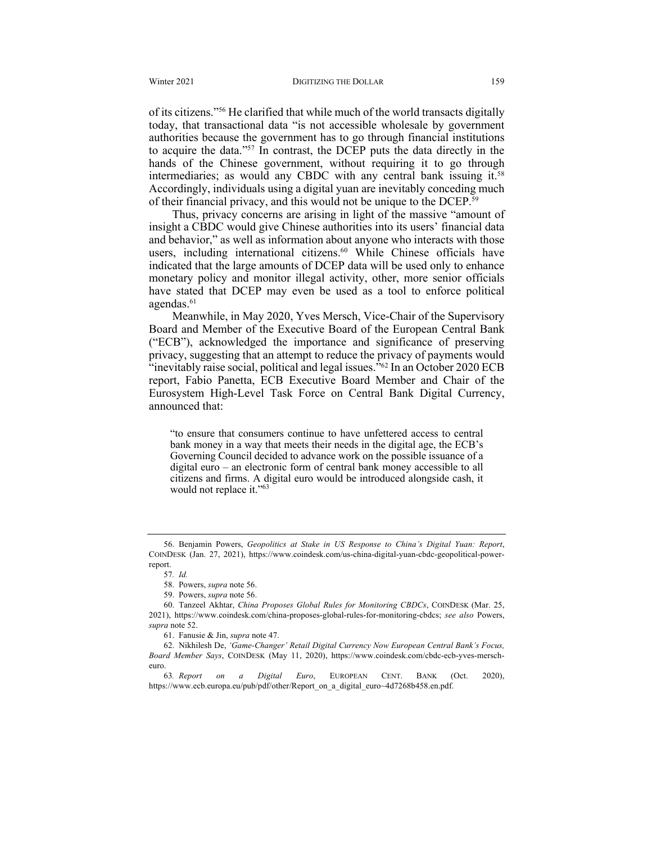of its citizens."56 He clarified that while much of the world transacts digitally today, that transactional data "is not accessible wholesale by government authorities because the government has to go through financial institutions to acquire the data."57 In contrast, the DCEP puts the data directly in the hands of the Chinese government, without requiring it to go through intermediaries; as would any CBDC with any central bank issuing it.58 Accordingly, individuals using a digital yuan are inevitably conceding much of their financial privacy, and this would not be unique to the DCEP.59

Thus, privacy concerns are arising in light of the massive "amount of insight a CBDC would give Chinese authorities into its users' financial data and behavior," as well as information about anyone who interacts with those users, including international citizens.<sup>60</sup> While Chinese officials have indicated that the large amounts of DCEP data will be used only to enhance monetary policy and monitor illegal activity, other, more senior officials have stated that DCEP may even be used as a tool to enforce political agendas.<sup>61</sup>

Meanwhile, in May 2020, Yves Mersch, Vice-Chair of the Supervisory Board and Member of the Executive Board of the European Central Bank ("ECB"), acknowledged the importance and significance of preserving privacy, suggesting that an attempt to reduce the privacy of payments would  $\cdot$ inevitably raise social, political and legal issues.<sup>"62</sup> In an October 2020 ECB report, Fabio Panetta, ECB Executive Board Member and Chair of the Eurosystem High-Level Task Force on Central Bank Digital Currency, announced that:

"to ensure that consumers continue to have unfettered access to central bank money in a way that meets their needs in the digital age, the ECB's Governing Council decided to advance work on the possible issuance of a digital euro – an electronic form of central bank money accessible to all citizens and firms. A digital euro would be introduced alongside cash, it would not replace it."<sup>63</sup>

<sup>56.</sup> Benjamin Powers, *Geopolitics at Stake in US Response to China's Digital Yuan: Report*, COINDESK (Jan. 27, 2021), https://www.coindesk.com/us-china-digital-yuan-cbdc-geopolitical-powerreport.

<sup>57</sup>*. Id.*

<sup>58.</sup> Powers, *supra* note 56.

<sup>59.</sup> Powers, *supra* note 56.

<sup>60.</sup> Tanzeel Akhtar, *China Proposes Global Rules for Monitoring CBDCs*, COINDESK (Mar. 25, 2021), https://www.coindesk.com/china-proposes-global-rules-for-monitoring-cbdcs; *see also* Powers, *supra* note 52.

<sup>61.</sup> Fanusie & Jin, *supra* note 47.

<sup>62.</sup> Nikhilesh De, *'Game-Changer' Retail Digital Currency Now European Central Bank's Focus, Board Member Says*, COINDESK (May 11, 2020), https://www.coindesk.com/cbdc-ecb-yves-merscheuro.

<sup>63</sup>*. Report on a Digital Euro*, EUROPEAN CENT. BANK (Oct. 2020), https://www.ecb.europa.eu/pub/pdf/other/Report\_on\_a\_digital\_euro~4d7268b458.en.pdf.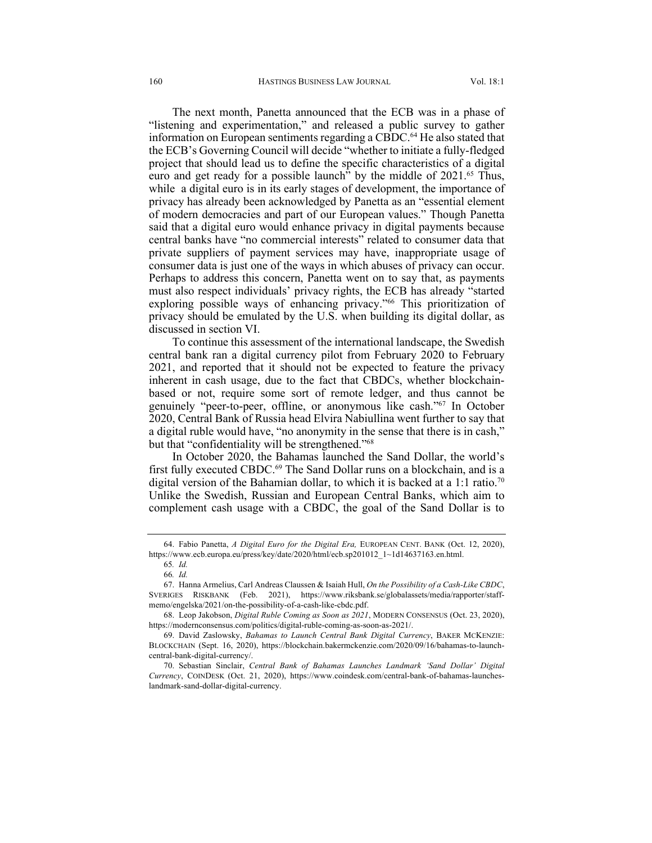The next month, Panetta announced that the ECB was in a phase of "listening and experimentation," and released a public survey to gather information on European sentiments regarding a CBDC.64 He also stated that the ECB's Governing Council will decide "whether to initiate a fully-fledged project that should lead us to define the specific characteristics of a digital euro and get ready for a possible launch<sup> $\dot{v}$ </sup> by the middle of 2021.<sup>65</sup> Thus, while a digital euro is in its early stages of development, the importance of privacy has already been acknowledged by Panetta as an "essential element of modern democracies and part of our European values." Though Panetta said that a digital euro would enhance privacy in digital payments because central banks have "no commercial interests" related to consumer data that private suppliers of payment services may have, inappropriate usage of consumer data is just one of the ways in which abuses of privacy can occur. Perhaps to address this concern, Panetta went on to say that, as payments must also respect individuals' privacy rights, the ECB has already "started exploring possible ways of enhancing privacy."<sup>66</sup> This prioritization of privacy should be emulated by the U.S. when building its digital dollar, as discussed in section VI.

To continue this assessment of the international landscape, the Swedish central bank ran a digital currency pilot from February 2020 to February 2021, and reported that it should not be expected to feature the privacy inherent in cash usage, due to the fact that CBDCs, whether blockchainbased or not, require some sort of remote ledger, and thus cannot be genuinely "peer-to-peer, offline, or anonymous like cash."67 In October 2020, Central Bank of Russia head Elvira Nabiullina went further to say that a digital ruble would have, "no anonymity in the sense that there is in cash," but that "confidentiality will be strengthened."68

In October 2020, the Bahamas launched the Sand Dollar, the world's first fully executed CBDC.<sup>69</sup> The Sand Dollar runs on a blockchain, and is a digital version of the Bahamian dollar, to which it is backed at a 1:1 ratio.<sup>70</sup> Unlike the Swedish, Russian and European Central Banks, which aim to complement cash usage with a CBDC, the goal of the Sand Dollar is to

<sup>64.</sup> Fabio Panetta, *A Digital Euro for the Digital Era,* EUROPEAN CENT. BANK (Oct. 12, 2020), https://www.ecb.europa.eu/press/key/date/2020/html/ecb.sp201012\_1~1d14637163.en.html.

<sup>65</sup>*. Id.*

<sup>66</sup>*. Id.*

<sup>67.</sup> Hanna Armelius, Carl Andreas Claussen & Isaiah Hull, *On the Possibility of a Cash-Like CBDC*, SVERIGES RISKBANK (Feb. 2021), https://www.riksbank.se/globalassets/media/rapporter/staffmemo/engelska/2021/on-the-possibility-of-a-cash-like-cbdc.pdf.

<sup>68.</sup> Leop Jakobson, *Digital Ruble Coming as Soon as 2021*, MODERN CONSENSUS (Oct. 23, 2020), https://modernconsensus.com/politics/digital-ruble-coming-as-soon-as-2021/.

<sup>69.</sup> David Zaslowsky, *Bahamas to Launch Central Bank Digital Currency*, BAKER MCKENZIE: BLOCKCHAIN (Sept. 16, 2020), https://blockchain.bakermckenzie.com/2020/09/16/bahamas-to-launchcentral-bank-digital-currency/.

<sup>70.</sup> Sebastian Sinclair, *Central Bank of Bahamas Launches Landmark 'Sand Dollar' Digital Currency*, COINDESK (Oct. 21, 2020), https://www.coindesk.com/central-bank-of-bahamas-launcheslandmark-sand-dollar-digital-currency.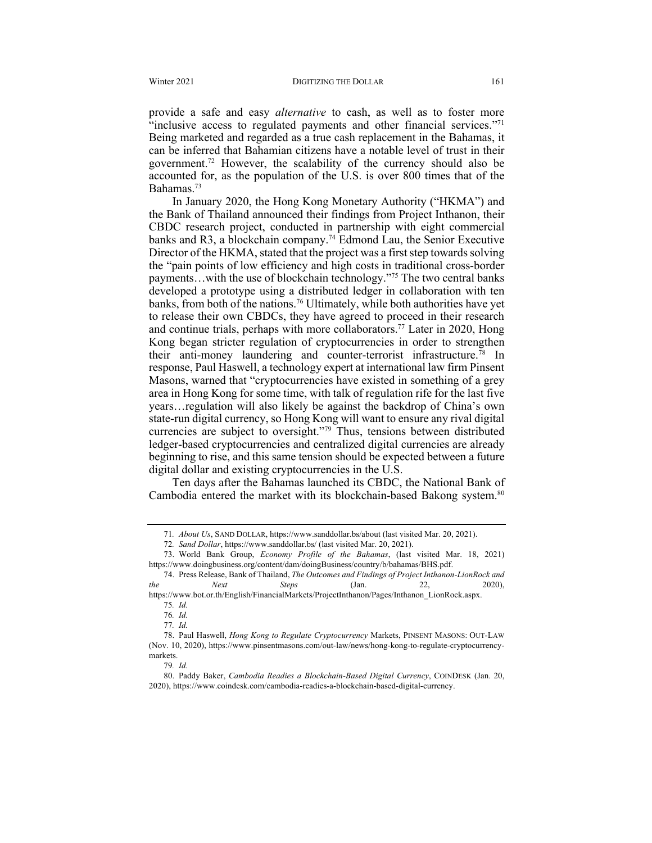provide a safe and easy *alternative* to cash, as well as to foster more "inclusive access to regulated payments and other financial services."<sup>71</sup> Being marketed and regarded as a true cash replacement in the Bahamas, it can be inferred that Bahamian citizens have a notable level of trust in their government.72 However, the scalability of the currency should also be accounted for, as the population of the U.S. is over 800 times that of the Bahamas.73

In January 2020, the Hong Kong Monetary Authority ("HKMA") and the Bank of Thailand announced their findings from Project Inthanon, their CBDC research project, conducted in partnership with eight commercial banks and R3, a blockchain company.74 Edmond Lau, the Senior Executive Director of the HKMA, stated that the project was a first step towards solving the "pain points of low efficiency and high costs in traditional cross-border payments…with the use of blockchain technology."75 The two central banks developed a prototype using a distributed ledger in collaboration with ten banks, from both of the nations.76 Ultimately, while both authorities have yet to release their own CBDCs, they have agreed to proceed in their research and continue trials, perhaps with more collaborators.<sup>77</sup> Later in 2020, Hong Kong began stricter regulation of cryptocurrencies in order to strengthen their anti-money laundering and counter-terrorist infrastructure.78 In response, Paul Haswell, a technology expert at international law firm Pinsent Masons, warned that "cryptocurrencies have existed in something of a grey area in Hong Kong for some time, with talk of regulation rife for the last five years…regulation will also likely be against the backdrop of China's own state-run digital currency, so Hong Kong will want to ensure any rival digital currencies are subject to oversight."79 Thus, tensions between distributed ledger-based cryptocurrencies and centralized digital currencies are already beginning to rise, and this same tension should be expected between a future digital dollar and existing cryptocurrencies in the U.S.

Ten days after the Bahamas launched its CBDC, the National Bank of Cambodia entered the market with its blockchain-based Bakong system.<sup>80</sup>

74. Press Release, Bank of Thailand, *The Outcomes and Findings of Project Inthanon-LionRock and the Next Steps* (Jan. 22, 2020), https://www.bot.or.th/English/FinancialMarkets/ProjectInthanon/Pages/Inthanon\_LionRock.aspx.

<sup>71</sup>*. About Us*, SAND DOLLAR, https://www.sanddollar.bs/about (last visited Mar. 20, 2021).

<sup>72</sup>*. Sand Dollar*, https://www.sanddollar.bs/ (last visited Mar. 20, 2021).

<sup>73.</sup> World Bank Group, *Economy Profile of the Bahamas*, (last visited Mar. 18, 2021) https://www.doingbusiness.org/content/dam/doingBusiness/country/b/bahamas/BHS.pdf.

<sup>75</sup>*. Id.*

<sup>76</sup>*. Id.*

<sup>77</sup>*. Id.*

<sup>78.</sup> Paul Haswell, *Hong Kong to Regulate Cryptocurrency* Markets, PINSENT MASONS: OUT-LAW (Nov. 10, 2020), https://www.pinsentmasons.com/out-law/news/hong-kong-to-regulate-cryptocurrencymarkets.

<sup>79</sup>*. Id.*

<sup>80.</sup> Paddy Baker, *Cambodia Readies a Blockchain-Based Digital Currency*, COINDESK (Jan. 20, 2020), https://www.coindesk.com/cambodia-readies-a-blockchain-based-digital-currency.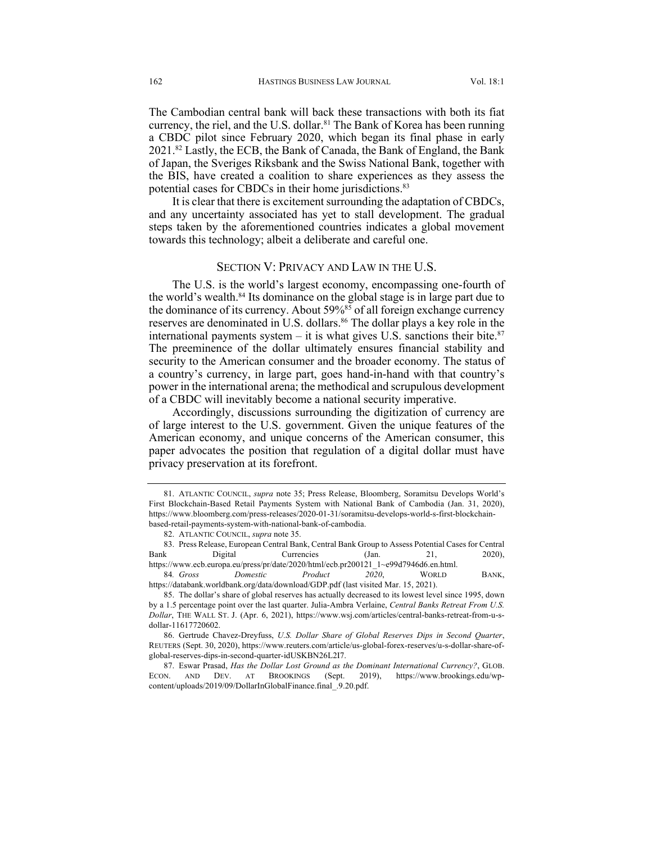The Cambodian central bank will back these transactions with both its fiat currency, the riel, and the U.S. dollar.<sup>81</sup> The Bank of Korea has been running a CBDC pilot since February 2020, which began its final phase in early 2021.82 Lastly, the ECB, the Bank of Canada, the Bank of England, the Bank of Japan, the Sveriges Riksbank and the Swiss National Bank, together with the BIS, have created a coalition to share experiences as they assess the potential cases for CBDCs in their home jurisdictions.<sup>83</sup>

It is clear that there is excitement surrounding the adaptation of CBDCs, and any uncertainty associated has yet to stall development. The gradual steps taken by the aforementioned countries indicates a global movement towards this technology; albeit a deliberate and careful one.

#### SECTION V: PRIVACY AND LAW IN THE U.S.

The U.S. is the world's largest economy, encompassing one-fourth of the world's wealth. $84$  Its dominance on the global stage is in large part due to the dominance of its currency. About  $59\%^{85}$  of all foreign exchange currency reserves are denominated in U.S. dollars.<sup>86</sup> The dollar plays a key role in the international payments system – it is what gives U.S. sanctions their bite.<sup>87</sup> The preeminence of the dollar ultimately ensures financial stability and security to the American consumer and the broader economy. The status of a country's currency, in large part, goes hand-in-hand with that country's power in the international arena; the methodical and scrupulous development of a CBDC will inevitably become a national security imperative.

Accordingly, discussions surrounding the digitization of currency are of large interest to the U.S. government. Given the unique features of the American economy, and unique concerns of the American consumer, this paper advocates the position that regulation of a digital dollar must have privacy preservation at its forefront.

83. Press Release, European Central Bank, Central Bank Group to Assess Potential Cases for Central Bank Digital Currencies (Jan. 21, 2020), https://www.ecb.europa.eu/press/pr/date/2020/html/ecb.pr200121\_1~e99d7946d6.en.html.

84*. Gross Domestic Product 2020*, WORLD BANK, https://databank.worldbank.org/data/download/GDP.pdf (last visited Mar. 15, 2021).

<sup>81.</sup> ATLANTIC COUNCIL, *supra* note 35; Press Release, Bloomberg, Soramitsu Develops World's First Blockchain-Based Retail Payments System with National Bank of Cambodia (Jan. 31, 2020), https://www.bloomberg.com/press-releases/2020-01-31/soramitsu-develops-world-s-first-blockchainbased-retail-payments-system-with-national-bank-of-cambodia.

<sup>82.</sup> ATLANTIC COUNCIL, *supra* note 35.

<sup>85.</sup> The dollar's share of global reserves has actually decreased to its lowest level since 1995, down by a 1.5 percentage point over the last quarter. Julia-Ambra Verlaine, *Central Banks Retreat From U.S. Dollar*, THE WALL ST. J. (Apr. 6, 2021), https://www.wsj.com/articles/central-banks-retreat-from-u-sdollar-11617720602.

<sup>86.</sup> Gertrude Chavez-Dreyfuss, *U.S. Dollar Share of Global Reserves Dips in Second Quarter*, REUTERS (Sept. 30, 2020), https://www.reuters.com/article/us-global-forex-reserves/u-s-dollar-share-ofglobal-reserves-dips-in-second-quarter-idUSKBN26L2I7.

<sup>87.</sup> Eswar Prasad, *Has the Dollar Lost Ground as the Dominant International Currency?*, GLOB. ECON. AND DEV. AT BROOKINGS (Sept. 2019), https://www.brookings.edu/wpcontent/uploads/2019/09/DollarInGlobalFinance.final\_.9.20.pdf.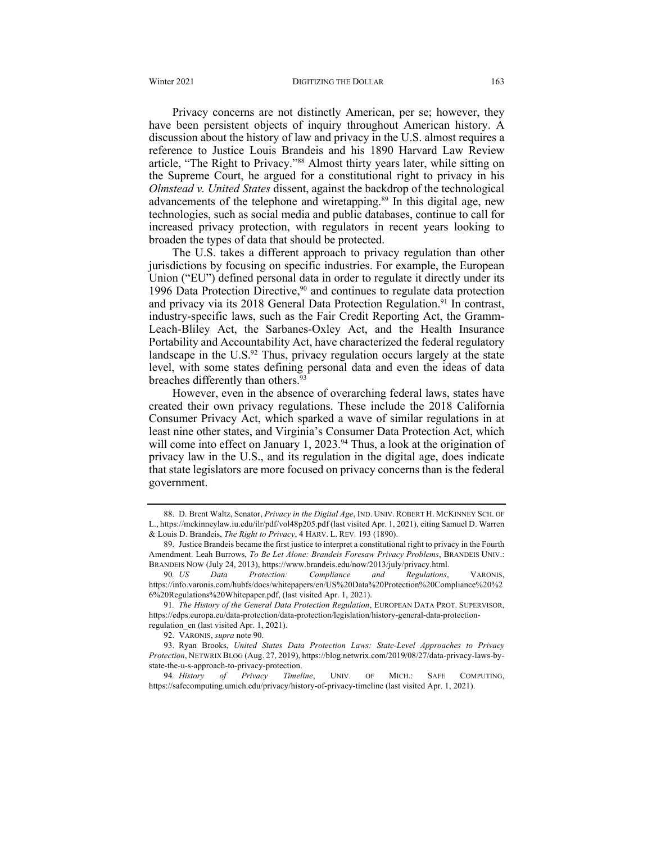Privacy concerns are not distinctly American, per se; however, they have been persistent objects of inquiry throughout American history. A discussion about the history of law and privacy in the U.S. almost requires a reference to Justice Louis Brandeis and his 1890 Harvard Law Review article, "The Right to Privacy."88 Almost thirty years later, while sitting on the Supreme Court, he argued for a constitutional right to privacy in his *Olmstead v. United States* dissent, against the backdrop of the technological advancements of the telephone and wiretapping.89 In this digital age, new technologies, such as social media and public databases, continue to call for increased privacy protection, with regulators in recent years looking to broaden the types of data that should be protected.

The U.S. takes a different approach to privacy regulation than other jurisdictions by focusing on specific industries. For example, the European Union ("EU") defined personal data in order to regulate it directly under its 1996 Data Protection Directive, $90$  and continues to regulate data protection and privacy via its 2018 General Data Protection Regulation.<sup>91</sup> In contrast, industry-specific laws, such as the Fair Credit Reporting Act, the Gramm-Leach-Bliley Act, the Sarbanes-Oxley Act, and the Health Insurance Portability and Accountability Act, have characterized the federal regulatory landscape in the U.S. $92$  Thus, privacy regulation occurs largely at the state level, with some states defining personal data and even the ideas of data breaches differently than others.<sup>93</sup>

However, even in the absence of overarching federal laws, states have created their own privacy regulations. These include the 2018 California Consumer Privacy Act, which sparked a wave of similar regulations in at least nine other states, and Virginia's Consumer Data Protection Act, which will come into effect on January 1, 2023.<sup>94</sup> Thus, a look at the origination of privacy law in the U.S., and its regulation in the digital age, does indicate that state legislators are more focused on privacy concerns than is the federal government.

<sup>88.</sup> D. Brent Waltz, Senator, *Privacy in the Digital Age*, IND. UNIV. ROBERT H. MCKINNEY SCH. OF L., https://mckinneylaw.iu.edu/ilr/pdf/vol48p205.pdf (last visited Apr. 1, 2021), citing Samuel D. Warren & Louis D. Brandeis, *The Right to Privacy*, 4 HARV. L. REV. 193 (1890).

<sup>89.</sup> Justice Brandeis became the first justice to interpret a constitutional right to privacy in the Fourth Amendment. Leah Burrows, *To Be Let Alone: Brandeis Foresaw Privacy Problems*, BRANDEIS UNIV.: BRANDEIS NOW (July 24, 2013), https://www.brandeis.edu/now/2013/july/privacy.html.

<sup>90</sup>*. US Data Protection: Compliance and Regulations*, VARONIS, https://info.varonis.com/hubfs/docs/whitepapers/en/US%20Data%20Protection%20Compliance%20%2 6%20Regulations%20Whitepaper.pdf, (last visited Apr. 1, 2021).

<sup>91</sup>*. The History of the General Data Protection Regulation*, EUROPEAN DATA PROT. SUPERVISOR, https://edps.europa.eu/data-protection/data-protection/legislation/history-general-data-protectionregulation\_en (last visited Apr. 1, 2021).

<sup>92.</sup> VARONIS, *supra* note 90.

<sup>93.</sup> Ryan Brooks, *United States Data Protection Laws: State-Level Approaches to Privacy Protection*, NETWRIX BLOG (Aug. 27, 2019), https://blog.netwrix.com/2019/08/27/data-privacy-laws-bystate-the-u-s-approach-to-privacy-protection.

<sup>94</sup>*. History of Privacy Timeline*, UNIV. OF MICH.: SAFE COMPUTING, https://safecomputing.umich.edu/privacy/history-of-privacy-timeline (last visited Apr. 1, 2021).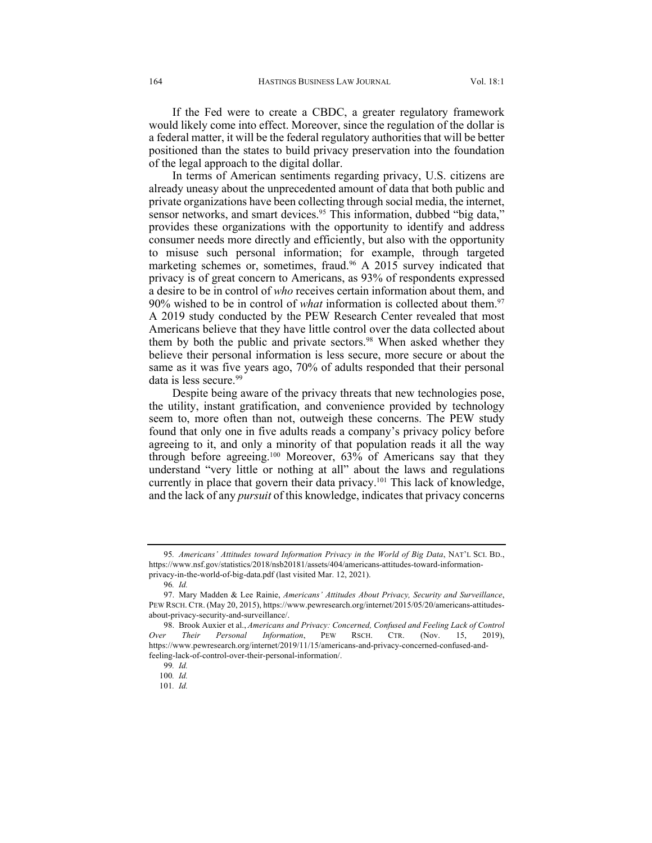If the Fed were to create a CBDC, a greater regulatory framework would likely come into effect. Moreover, since the regulation of the dollar is a federal matter, it will be the federal regulatory authorities that will be better positioned than the states to build privacy preservation into the foundation of the legal approach to the digital dollar.

In terms of American sentiments regarding privacy, U.S. citizens are already uneasy about the unprecedented amount of data that both public and private organizations have been collecting through social media, the internet, sensor networks, and smart devices.<sup>95</sup> This information, dubbed "big data," provides these organizations with the opportunity to identify and address consumer needs more directly and efficiently, but also with the opportunity to misuse such personal information; for example, through targeted marketing schemes or, sometimes, fraud. <sup>96</sup> A 2015 survey indicated that privacy is of great concern to Americans, as 93% of respondents expressed a desire to be in control of *who* receives certain information about them, and 90% wished to be in control of *what* information is collected about them. 97 A 2019 study conducted by the PEW Research Center revealed that most Americans believe that they have little control over the data collected about them by both the public and private sectors.<sup>98</sup> When asked whether they believe their personal information is less secure, more secure or about the same as it was five years ago, 70% of adults responded that their personal data is less secure.<sup>99</sup>

Despite being aware of the privacy threats that new technologies pose, the utility, instant gratification, and convenience provided by technology seem to, more often than not, outweigh these concerns. The PEW study found that only one in five adults reads a company's privacy policy before agreeing to it, and only a minority of that population reads it all the way through before agreeing.100 Moreover, 63% of Americans say that they understand "very little or nothing at all" about the laws and regulations currently in place that govern their data privacy.<sup>101</sup> This lack of knowledge, and the lack of any *pursuit* of this knowledge, indicates that privacy concerns

<sup>95</sup>*. Americans' Attitudes toward Information Privacy in the World of Big Data*, NAT'L SCI. BD., https://www.nsf.gov/statistics/2018/nsb20181/assets/404/americans-attitudes-toward-informationprivacy-in-the-world-of-big-data.pdf (last visited Mar. 12, 2021).

<sup>96</sup>*. Id.*

<sup>97.</sup> Mary Madden & Lee Rainie, *Americans' Attitudes About Privacy, Security and Surveillance*, PEW RSCH. CTR. (May 20, 2015), https://www.pewresearch.org/internet/2015/05/20/americans-attitudesabout-privacy-security-and-surveillance/.

<sup>98.</sup> Brook Auxier et al., *Americans and Privacy: Concerned, Confused and Feeling Lack of Control Over Their Personal Information*, PEW RSCH. CTR. (Nov. 15, 2019), https://www.pewresearch.org/internet/2019/11/15/americans-and-privacy-concerned-confused-andfeeling-lack-of-control-over-their-personal-information/.

<sup>99</sup>*. Id.*

<sup>100</sup>*. Id.*

<sup>101</sup>*. Id.*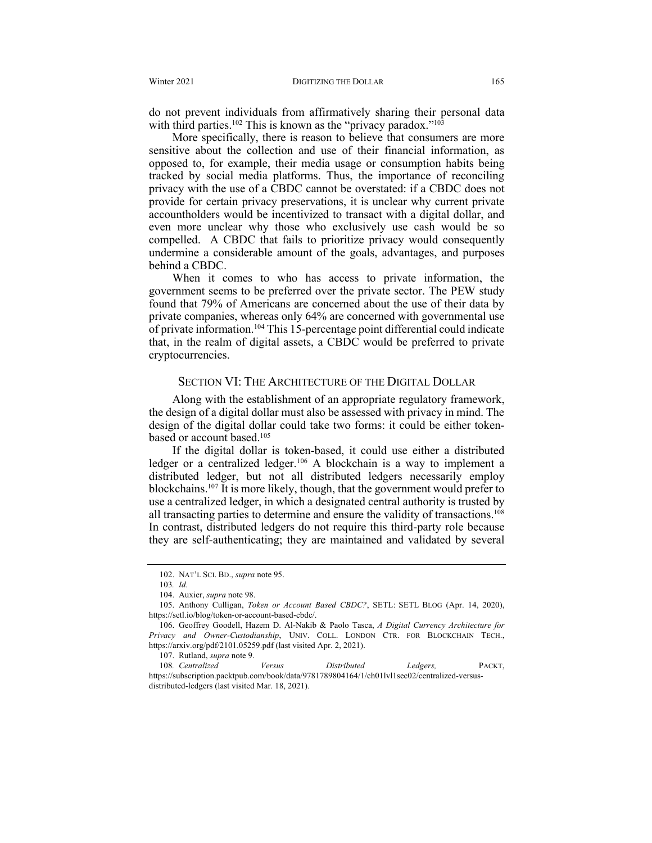do not prevent individuals from affirmatively sharing their personal data with third parties.<sup>102</sup> This is known as the "privacy paradox."<sup>103</sup>

More specifically, there is reason to believe that consumers are more sensitive about the collection and use of their financial information, as opposed to, for example, their media usage or consumption habits being tracked by social media platforms. Thus, the importance of reconciling privacy with the use of a CBDC cannot be overstated: if a CBDC does not provide for certain privacy preservations, it is unclear why current private accountholders would be incentivized to transact with a digital dollar, and even more unclear why those who exclusively use cash would be so compelled. A CBDC that fails to prioritize privacy would consequently undermine a considerable amount of the goals, advantages, and purposes behind a CBDC.

When it comes to who has access to private information, the government seems to be preferred over the private sector. The PEW study found that 79% of Americans are concerned about the use of their data by private companies, whereas only 64% are concerned with governmental use of private information.104 This 15-percentage point differential could indicate that, in the realm of digital assets, a CBDC would be preferred to private cryptocurrencies.

#### SECTION VI: THE ARCHITECTURE OF THE DIGITAL DOLLAR

Along with the establishment of an appropriate regulatory framework, the design of a digital dollar must also be assessed with privacy in mind. The design of the digital dollar could take two forms: it could be either tokenbased or account based.<sup>105</sup>

If the digital dollar is token-based, it could use either a distributed ledger or a centralized ledger.<sup>106</sup> A blockchain is a way to implement a distributed ledger, but not all distributed ledgers necessarily employ blockchains.107 It is more likely, though, that the government would prefer to use a centralized ledger, in which a designated central authority is trusted by all transacting parties to determine and ensure the validity of transactions.<sup>108</sup> In contrast, distributed ledgers do not require this third-party role because they are self-authenticating; they are maintained and validated by several

<sup>102.</sup> NAT'L SCI. BD., *supra* note 95.

<sup>103</sup>*. Id.*

<sup>104.</sup> Auxier, *supra* note 98.

<sup>105.</sup> Anthony Culligan, *Token or Account Based CBDC?*, SETL: SETL BLOG (Apr. 14, 2020), https://setl.io/blog/token-or-account-based-cbdc/.

<sup>106.</sup> Geoffrey Goodell, Hazem D. Al-Nakib & Paolo Tasca, *A Digital Currency Architecture for Privacy and Owner-Custodianship*, UNIV. COLL. LONDON CTR. FOR BLOCKCHAIN TECH., https://arxiv.org/pdf/2101.05259.pdf (last visited Apr. 2, 2021).

<sup>107.</sup> Rutland, *supra* note 9.

<sup>108</sup>*. Centralized Versus Distributed Ledgers,* PACKT, https://subscription.packtpub.com/book/data/9781789804164/1/ch01lvl1sec02/centralized-versusdistributed-ledgers (last visited Mar. 18, 2021).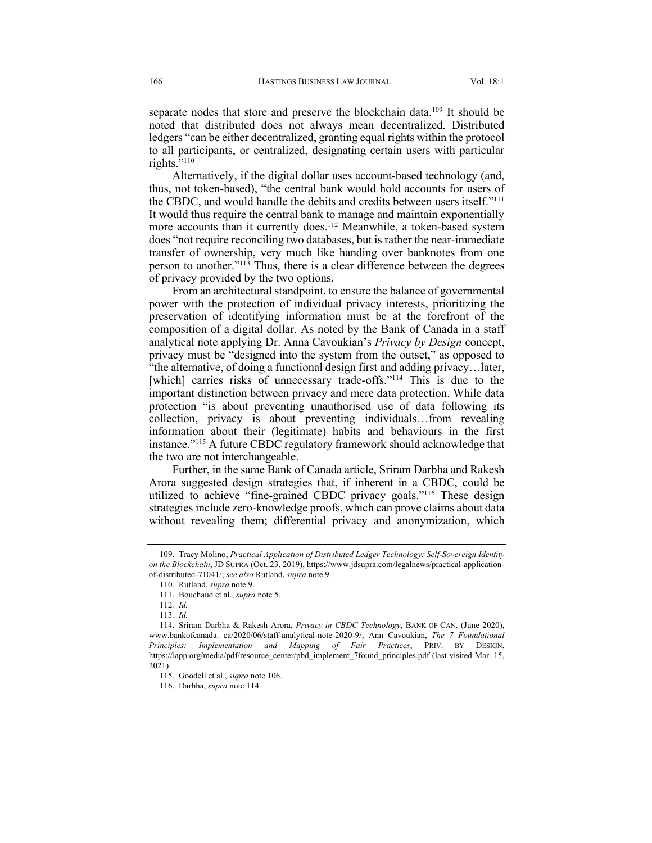separate nodes that store and preserve the blockchain data.<sup>109</sup> It should be noted that distributed does not always mean decentralized. Distributed ledgers "can be either decentralized, granting equal rights within the protocol to all participants, or centralized, designating certain users with particular rights. $\frac{1}{10}$ <sup>110</sup>

Alternatively, if the digital dollar uses account-based technology (and, thus, not token-based), "the central bank would hold accounts for users of the CBDC, and would handle the debits and credits between users itself."111 It would thus require the central bank to manage and maintain exponentially more accounts than it currently does.<sup>112</sup> Meanwhile, a token-based system does "not require reconciling two databases, but is rather the near-immediate transfer of ownership, very much like handing over banknotes from one person to another."113 Thus, there is a clear difference between the degrees of privacy provided by the two options.

From an architectural standpoint, to ensure the balance of governmental power with the protection of individual privacy interests, prioritizing the preservation of identifying information must be at the forefront of the composition of a digital dollar. As noted by the Bank of Canada in a staff analytical note applying Dr. Anna Cavoukian's *Privacy by Design* concept, privacy must be "designed into the system from the outset," as opposed to "the alternative, of doing a functional design first and adding privacy…later, [which] carries risks of unnecessary trade-offs."<sup>114</sup> This is due to the important distinction between privacy and mere data protection. While data protection "is about preventing unauthorised use of data following its collection, privacy is about preventing individuals…from revealing information about their (legitimate) habits and behaviours in the first instance."115 A future CBDC regulatory framework should acknowledge that the two are not interchangeable.

Further, in the same Bank of Canada article, Sriram Darbha and Rakesh Arora suggested design strategies that, if inherent in a CBDC, could be utilized to achieve "fine-grained CBDC privacy goals."116 These design strategies include zero-knowledge proofs, which can prove claims about data without revealing them; differential privacy and anonymization, which

<sup>109.</sup> Tracy Molino, *Practical Application of Distributed Ledger Technology: Self-Sovereign Identity on the Blockchain*, JD SUPRA (Oct. 23, 2019), https://www.jdsupra.com/legalnews/practical-applicationof-distributed-71041/; *see also* Rutland, *supra* note 9.

<sup>110.</sup> Rutland, *supra* note 9.

<sup>111.</sup> Bouchaud et al., *supra* note 5.

<sup>112</sup>*. Id.*

<sup>113</sup>*. Id.*

<sup>114.</sup> Sriram Darbha & Rakesh Arora, *Privacy in CBDC Technology*, BANK OF CAN. (June 2020), www.bankofcanada. ca/2020/06/staff-analytical-note-2020-9/; Ann Cavoukian, *The 7 Foundational Principles: Implementation and Mapping of Fair Practices*, PRIV. BY DESIGN, https://iapp.org/media/pdf/resource\_center/pbd\_implement\_7found\_principles.pdf (last visited Mar. 15, 2021).

<sup>115.</sup> Goodell et al., *supra* note 106.

<sup>116.</sup> Darbha, *supra* note 114.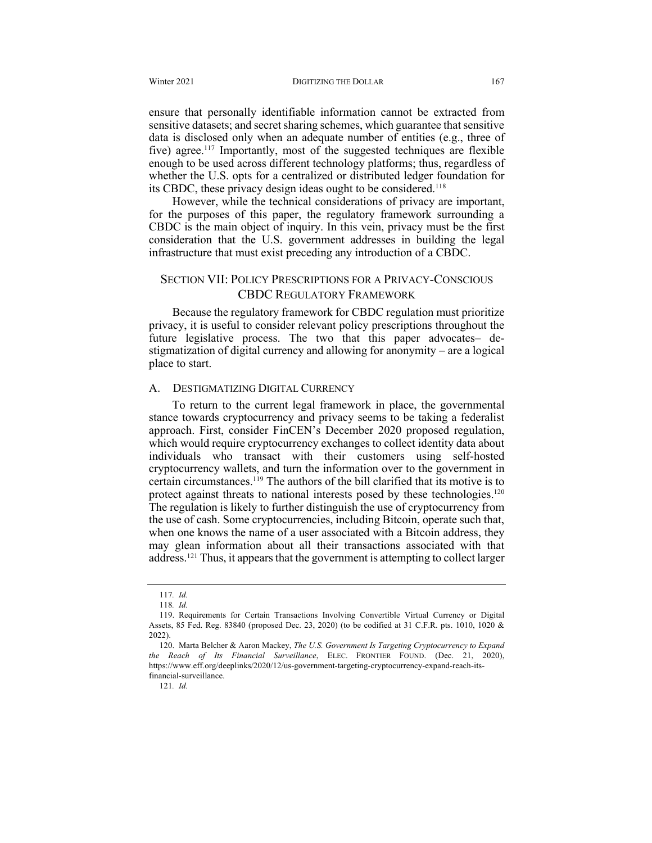ensure that personally identifiable information cannot be extracted from sensitive datasets; and secret sharing schemes, which guarantee that sensitive data is disclosed only when an adequate number of entities (e.g., three of five) agree.<sup>117</sup> Importantly, most of the suggested techniques are flexible enough to be used across different technology platforms; thus, regardless of whether the U.S. opts for a centralized or distributed ledger foundation for its CBDC, these privacy design ideas ought to be considered.118

However, while the technical considerations of privacy are important, for the purposes of this paper, the regulatory framework surrounding a CBDC is the main object of inquiry. In this vein, privacy must be the first consideration that the U.S. government addresses in building the legal infrastructure that must exist preceding any introduction of a CBDC.

## SECTION VII: POLICY PRESCRIPTIONS FOR A PRIVACY-CONSCIOUS CBDC REGULATORY FRAMEWORK

Because the regulatory framework for CBDC regulation must prioritize privacy, it is useful to consider relevant policy prescriptions throughout the future legislative process. The two that this paper advocates– destigmatization of digital currency and allowing for anonymity – are a logical place to start.

#### A. DESTIGMATIZING DIGITAL CURRENCY

To return to the current legal framework in place, the governmental stance towards cryptocurrency and privacy seems to be taking a federalist approach. First, consider FinCEN's December 2020 proposed regulation, which would require cryptocurrency exchanges to collect identity data about individuals who transact with their customers using self-hosted cryptocurrency wallets, and turn the information over to the government in certain circumstances.119 The authors of the bill clarified that its motive is to protect against threats to national interests posed by these technologies.<sup>120</sup> The regulation is likely to further distinguish the use of cryptocurrency from the use of cash. Some cryptocurrencies, including Bitcoin, operate such that, when one knows the name of a user associated with a Bitcoin address, they may glean information about all their transactions associated with that address.121 Thus, it appears that the government is attempting to collect larger

121*. Id.*

<sup>117</sup>*. Id.*

<sup>118</sup>*. Id.*

<sup>119.</sup> Requirements for Certain Transactions Involving Convertible Virtual Currency or Digital Assets, 85 Fed. Reg. 83840 (proposed Dec. 23, 2020) (to be codified at 31 C.F.R. pts. 1010, 1020 & 2022).

<sup>120.</sup> Marta Belcher & Aaron Mackey, *The U.S. Government Is Targeting Cryptocurrency to Expand the Reach of Its Financial Surveillance*, ELEC. FRONTIER FOUND. (Dec. 21, 2020), https://www.eff.org/deeplinks/2020/12/us-government-targeting-cryptocurrency-expand-reach-itsfinancial-surveillance.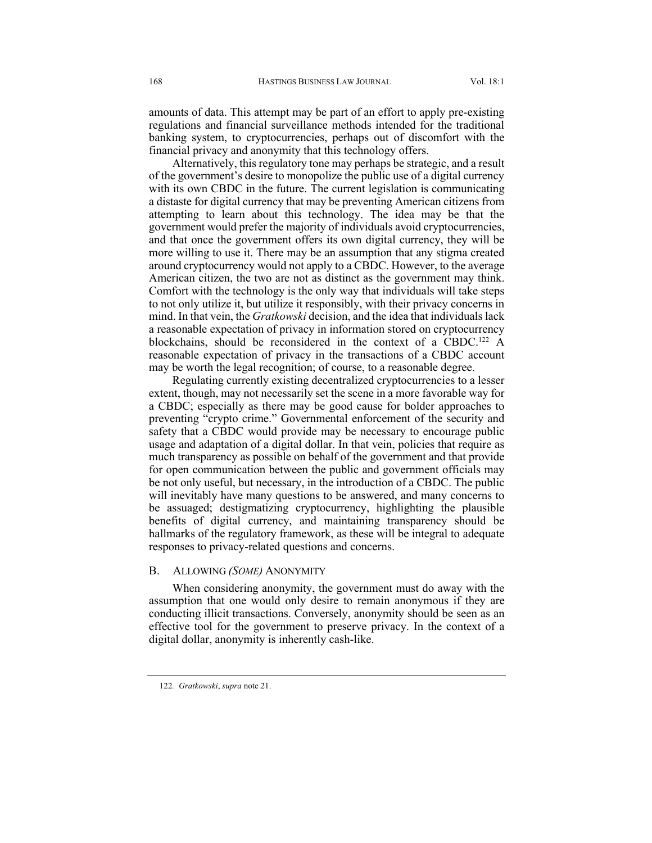amounts of data. This attempt may be part of an effort to apply pre-existing regulations and financial surveillance methods intended for the traditional banking system, to cryptocurrencies, perhaps out of discomfort with the financial privacy and anonymity that this technology offers.

Alternatively, this regulatory tone may perhaps be strategic, and a result of the government's desire to monopolize the public use of a digital currency with its own CBDC in the future. The current legislation is communicating a distaste for digital currency that may be preventing American citizens from attempting to learn about this technology. The idea may be that the government would prefer the majority of individuals avoid cryptocurrencies, and that once the government offers its own digital currency, they will be more willing to use it. There may be an assumption that any stigma created around cryptocurrency would not apply to a CBDC. However, to the average American citizen, the two are not as distinct as the government may think. Comfort with the technology is the only way that individuals will take steps to not only utilize it, but utilize it responsibly, with their privacy concerns in mind. In that vein, the *Gratkowski* decision, and the idea that individuals lack a reasonable expectation of privacy in information stored on cryptocurrency blockchains, should be reconsidered in the context of a CBDC.<sup>122</sup> A reasonable expectation of privacy in the transactions of a CBDC account may be worth the legal recognition; of course, to a reasonable degree.

Regulating currently existing decentralized cryptocurrencies to a lesser extent, though, may not necessarily set the scene in a more favorable way for a CBDC; especially as there may be good cause for bolder approaches to preventing "crypto crime." Governmental enforcement of the security and safety that a CBDC would provide may be necessary to encourage public usage and adaptation of a digital dollar. In that vein, policies that require as much transparency as possible on behalf of the government and that provide for open communication between the public and government officials may be not only useful, but necessary, in the introduction of a CBDC. The public will inevitably have many questions to be answered, and many concerns to be assuaged; destigmatizing cryptocurrency, highlighting the plausible benefits of digital currency, and maintaining transparency should be hallmarks of the regulatory framework, as these will be integral to adequate responses to privacy-related questions and concerns.

#### B. ALLOWING *(SOME)* ANONYMITY

When considering anonymity, the government must do away with the assumption that one would only desire to remain anonymous if they are conducting illicit transactions. Conversely, anonymity should be seen as an effective tool for the government to preserve privacy. In the context of a digital dollar, anonymity is inherently cash-like.

<sup>122</sup>*. Gratkowski*, *supra* note 21.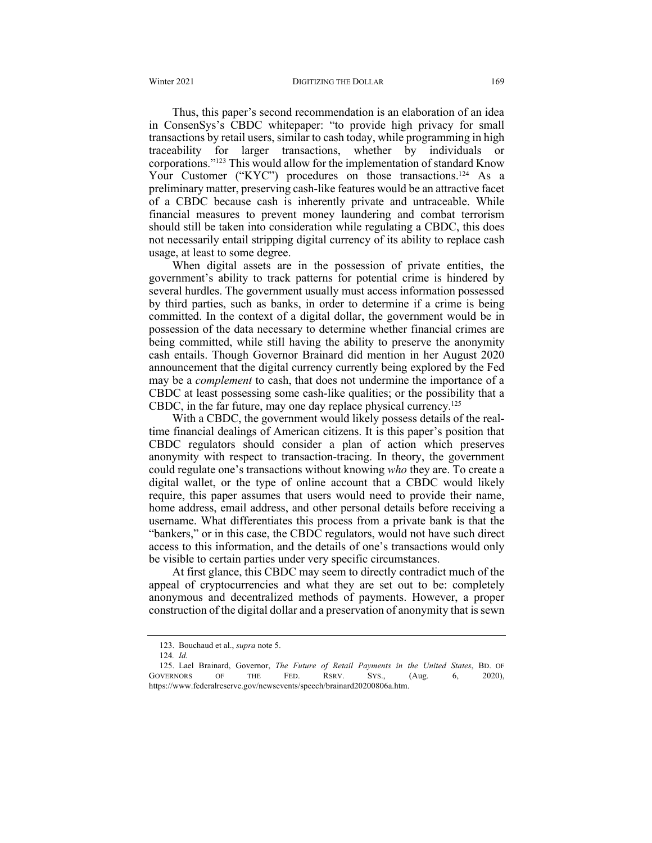Thus, this paper's second recommendation is an elaboration of an idea in ConsenSys's CBDC whitepaper: "to provide high privacy for small transactions by retail users, similar to cash today, while programming in high traceability for larger transactions, whether by individuals or corporations."123 This would allow for the implementation of standard Know Your Customer ("KYC") procedures on those transactions.<sup>124</sup> As a preliminary matter, preserving cash-like features would be an attractive facet of a CBDC because cash is inherently private and untraceable. While financial measures to prevent money laundering and combat terrorism should still be taken into consideration while regulating a CBDC, this does not necessarily entail stripping digital currency of its ability to replace cash usage, at least to some degree.

When digital assets are in the possession of private entities, the government's ability to track patterns for potential crime is hindered by several hurdles. The government usually must access information possessed by third parties, such as banks, in order to determine if a crime is being committed. In the context of a digital dollar, the government would be in possession of the data necessary to determine whether financial crimes are being committed, while still having the ability to preserve the anonymity cash entails. Though Governor Brainard did mention in her August 2020 announcement that the digital currency currently being explored by the Fed may be a *complement* to cash, that does not undermine the importance of a CBDC at least possessing some cash-like qualities; or the possibility that a CBDC, in the far future, may one day replace physical currency.125

With a CBDC, the government would likely possess details of the realtime financial dealings of American citizens. It is this paper's position that CBDC regulators should consider a plan of action which preserves anonymity with respect to transaction-tracing. In theory, the government could regulate one's transactions without knowing *who* they are. To create a digital wallet, or the type of online account that a CBDC would likely require, this paper assumes that users would need to provide their name, home address, email address, and other personal details before receiving a username. What differentiates this process from a private bank is that the "bankers," or in this case, the CBDC regulators, would not have such direct access to this information, and the details of one's transactions would only be visible to certain parties under very specific circumstances.

At first glance, this CBDC may seem to directly contradict much of the appeal of cryptocurrencies and what they are set out to be: completely anonymous and decentralized methods of payments. However, a proper construction of the digital dollar and a preservation of anonymity that is sewn

<sup>123.</sup> Bouchaud et al., *supra* note 5.

<sup>124</sup>*. Id.*

<sup>125.</sup> Lael Brainard, Governor, *The Future of Retail Payments in the United States*, BD. OF GOVERNORS OF THE FED. RSRV. SYS., (Aug. 6, 2020), https://www.federalreserve.gov/newsevents/speech/brainard20200806a.htm.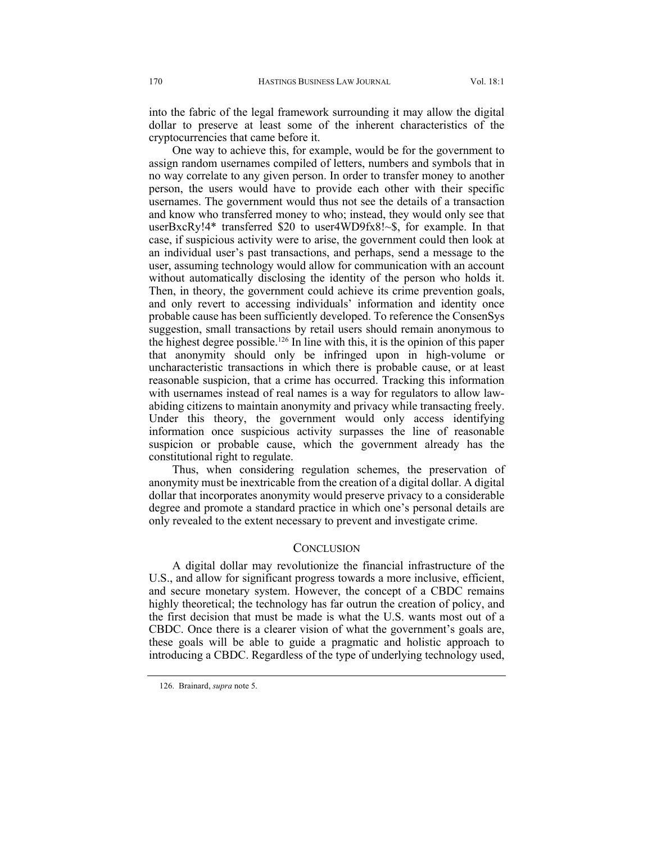into the fabric of the legal framework surrounding it may allow the digital dollar to preserve at least some of the inherent characteristics of the cryptocurrencies that came before it.

One way to achieve this, for example, would be for the government to assign random usernames compiled of letters, numbers and symbols that in no way correlate to any given person. In order to transfer money to another person, the users would have to provide each other with their specific usernames. The government would thus not see the details of a transaction and know who transferred money to who; instead, they would only see that userBxcRy!4\* transferred \$20 to user4WD9fx8!~\$, for example. In that case, if suspicious activity were to arise, the government could then look at an individual user's past transactions, and perhaps, send a message to the user, assuming technology would allow for communication with an account without automatically disclosing the identity of the person who holds it. Then, in theory, the government could achieve its crime prevention goals, and only revert to accessing individuals' information and identity once probable cause has been sufficiently developed. To reference the ConsenSys suggestion, small transactions by retail users should remain anonymous to the highest degree possible.<sup>126</sup> In line with this, it is the opinion of this paper that anonymity should only be infringed upon in high-volume or uncharacteristic transactions in which there is probable cause, or at least reasonable suspicion, that a crime has occurred. Tracking this information with usernames instead of real names is a way for regulators to allow lawabiding citizens to maintain anonymity and privacy while transacting freely. Under this theory, the government would only access identifying information once suspicious activity surpasses the line of reasonable suspicion or probable cause, which the government already has the constitutional right to regulate.

Thus, when considering regulation schemes, the preservation of anonymity must be inextricable from the creation of a digital dollar. A digital dollar that incorporates anonymity would preserve privacy to a considerable degree and promote a standard practice in which one's personal details are only revealed to the extent necessary to prevent and investigate crime.

#### **CONCLUSION**

A digital dollar may revolutionize the financial infrastructure of the U.S., and allow for significant progress towards a more inclusive, efficient, and secure monetary system. However, the concept of a CBDC remains highly theoretical; the technology has far outrun the creation of policy, and the first decision that must be made is what the U.S. wants most out of a CBDC. Once there is a clearer vision of what the government's goals are, these goals will be able to guide a pragmatic and holistic approach to introducing a CBDC. Regardless of the type of underlying technology used,

<sup>126.</sup> Brainard, *supra* note 5.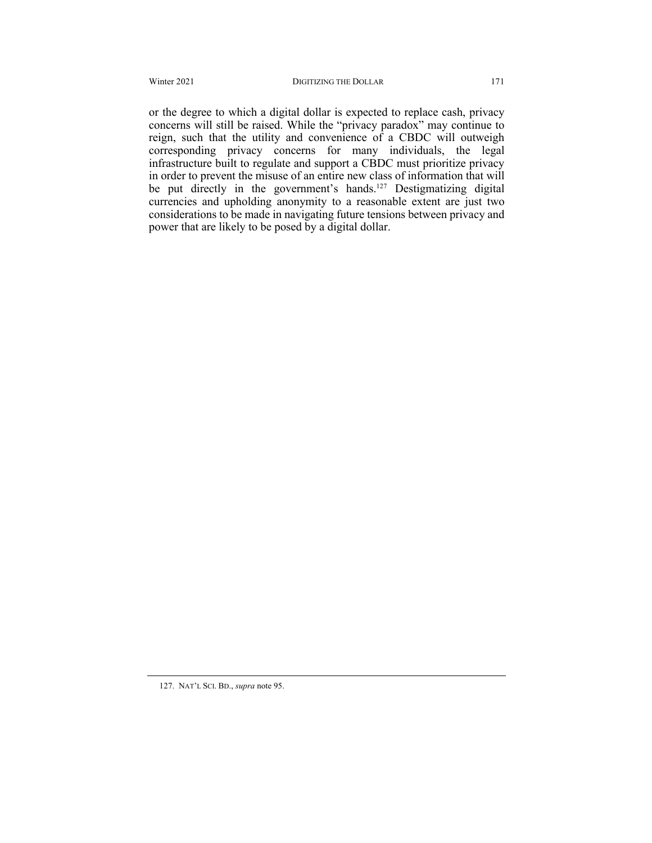or the degree to which a digital dollar is expected to replace cash, privacy concerns will still be raised. While the "privacy paradox" may continue to reign, such that the utility and convenience of a CBDC will outweigh corresponding privacy concerns for many individuals, the legal infrastructure built to regulate and support a CBDC must prioritize privacy in order to prevent the misuse of an entire new class of information that will be put directly in the government's hands.<sup>127</sup> Destigmatizing digital currencies and upholding anonymity to a reasonable extent are just two considerations to be made in navigating future tensions between privacy and power that are likely to be posed by a digital dollar.

<sup>127.</sup> NAT'L SCI. BD., *supra* note 95.